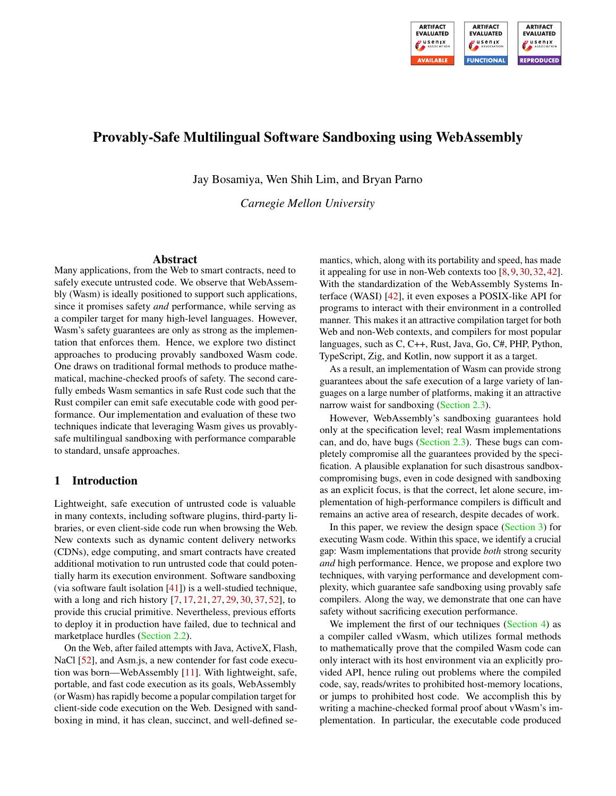

# Provably-Safe Multilingual Software Sandboxing using WebAssembly

Jay Bosamiya, Wen Shih Lim, and Bryan Parno

*Carnegie Mellon University*

#### Abstract

Many applications, from the Web to smart contracts, need to safely execute untrusted code. We observe that WebAssembly (Wasm) is ideally positioned to support such applications, since it promises safety *and* performance, while serving as a compiler target for many high-level languages. However, Wasm's safety guarantees are only as strong as the implementation that enforces them. Hence, we explore two distinct approaches to producing provably sandboxed Wasm code. One draws on traditional formal methods to produce mathematical, machine-checked proofs of safety. The second carefully embeds Wasm semantics in safe Rust code such that the Rust compiler can emit safe executable code with good performance. Our implementation and evaluation of these two techniques indicate that leveraging Wasm gives us provablysafe multilingual sandboxing with performance comparable to standard, unsafe approaches.

# <span id="page-0-0"></span>1 Introduction

Lightweight, safe execution of untrusted code is valuable in many contexts, including software plugins, third-party libraries, or even client-side code run when browsing the Web. New contexts such as dynamic content delivery networks (CDNs), edge computing, and smart contracts have created additional motivation to run untrusted code that could potentially harm its execution environment. Software sandboxing (via software fault isolation  $[41]$ ) is a well-studied technique, with a long and rich history [\[7,](#page-14-0) [17,](#page-14-1) [21,](#page-14-2) [27,](#page-15-1) [29,](#page-15-2) [30,](#page-15-3) [37,](#page-15-4) [52\]](#page-16-0), to provide this crucial primitive. Nevertheless, previous efforts to deploy it in production have failed, due to technical and marketplace hurdles [\(Section 2.2\)](#page-2-0).

On the Web, after failed attempts with Java, ActiveX, Flash, NaCl [\[52\]](#page-16-0), and Asm.js, a new contender for fast code execution was born—WebAssembly [\[11\]](#page-14-3). With lightweight, safe, portable, and fast code execution as its goals, WebAssembly (or Wasm) has rapidly become a popular compilation target for client-side code execution on the Web. Designed with sandboxing in mind, it has clean, succinct, and well-defined semantics, which, along with its portability and speed, has made it appealing for use in non-Web contexts too [\[8,](#page-14-4) [9,](#page-14-5) [30,](#page-15-3) [32,](#page-15-5) [42\]](#page-15-6). With the standardization of the WebAssembly Systems Interface (WASI) [\[42\]](#page-15-6), it even exposes a POSIX-like API for programs to interact with their environment in a controlled manner. This makes it an attractive compilation target for both Web and non-Web contexts, and compilers for most popular languages, such as C, C++, Rust, Java, Go, C#, PHP, Python, TypeScript, Zig, and Kotlin, now support it as a target.

As a result, an implementation of Wasm can provide strong guarantees about the safe execution of a large variety of languages on a large number of platforms, making it an attractive narrow waist for sandboxing [\(Section 2.3\)](#page-2-1).

However, WebAssembly's sandboxing guarantees hold only at the specification level; real Wasm implementations can, and do, have bugs [\(Section 2.3\)](#page-2-1). These bugs can completely compromise all the guarantees provided by the specification. A plausible explanation for such disastrous sandboxcompromising bugs, even in code designed with sandboxing as an explicit focus, is that the correct, let alone secure, implementation of high-performance compilers is difficult and remains an active area of research, despite decades of work.

In this paper, we review the design space [\(Section 3\)](#page-3-0) for executing Wasm code. Within this space, we identify a crucial gap: Wasm implementations that provide *both* strong security *and* high performance. Hence, we propose and explore two techniques, with varying performance and development complexity, which guarantee safe sandboxing using provably safe compilers. Along the way, we demonstrate that one can have safety without sacrificing execution performance.

We implement the first of our techniques [\(Section 4\)](#page-3-1) as a compiler called vWasm, which utilizes formal methods to mathematically prove that the compiled Wasm code can only interact with its host environment via an explicitly provided API, hence ruling out problems where the compiled code, say, reads/writes to prohibited host-memory locations, or jumps to prohibited host code. We accomplish this by writing a machine-checked formal proof about vWasm's implementation. In particular, the executable code produced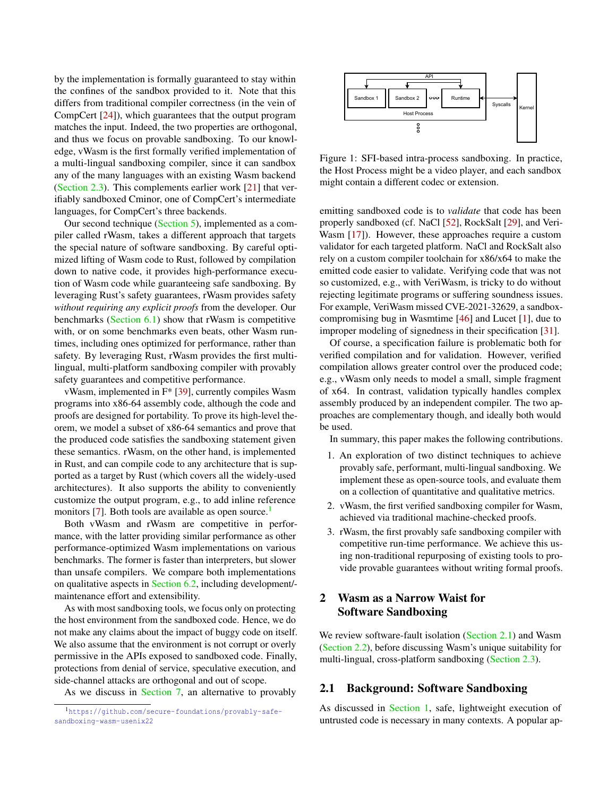by the implementation is formally guaranteed to stay within the confines of the sandbox provided to it. Note that this differs from traditional compiler correctness (in the vein of CompCert [\[24\]](#page-15-7)), which guarantees that the output program matches the input. Indeed, the two properties are orthogonal, and thus we focus on provable sandboxing. To our knowledge, vWasm is the first formally verified implementation of a multi-lingual sandboxing compiler, since it can sandbox any of the many languages with an existing Wasm backend [\(Section 2.3\)](#page-2-1). This complements earlier work [\[21\]](#page-14-2) that verifiably sandboxed Cminor, one of CompCert's intermediate languages, for CompCert's three backends.

Our second technique [\(Section 5\)](#page-6-0), implemented as a compiler called rWasm, takes a different approach that targets the special nature of software sandboxing. By careful optimized lifting of Wasm code to Rust, followed by compilation down to native code, it provides high-performance execution of Wasm code while guaranteeing safe sandboxing. By leveraging Rust's safety guarantees, rWasm provides safety *without requiring any explicit proofs* from the developer. Our benchmarks [\(Section 6.1\)](#page-9-0) show that rWasm is competitive with, or on some benchmarks even beats, other Wasm runtimes, including ones optimized for performance, rather than safety. By leveraging Rust, rWasm provides the first multilingual, multi-platform sandboxing compiler with provably safety guarantees and competitive performance.

vWasm, implemented in F\* [\[39\]](#page-15-8), currently compiles Wasm programs into x86-64 assembly code, although the code and proofs are designed for portability. To prove its high-level theorem, we model a subset of x86-64 semantics and prove that the produced code satisfies the sandboxing statement given these semantics. rWasm, on the other hand, is implemented in Rust, and can compile code to any architecture that is supported as a target by Rust (which covers all the widely-used architectures). It also supports the ability to conveniently customize the output program, e.g., to add inline reference monitors  $[7]$ . Both tools are available as open source.<sup>[1](#page-1-0)</sup>

Both vWasm and rWasm are competitive in performance, with the latter providing similar performance as other performance-optimized Wasm implementations on various benchmarks. The former is faster than interpreters, but slower than unsafe compilers. We compare both implementations on qualitative aspects in [Section 6.2,](#page-11-0) including development/ maintenance effort and extensibility.

As with most sandboxing tools, we focus only on protecting the host environment from the sandboxed code. Hence, we do not make any claims about the impact of buggy code on itself. We also assume that the environment is not corrupt or overly permissive in the APIs exposed to sandboxed code. Finally, protections from denial of service, speculative execution, and side-channel attacks are orthogonal and out of scope.

As we discuss in [Section 7,](#page-13-0) an alternative to provably

<span id="page-1-2"></span>

Figure 1: SFI-based intra-process sandboxing. In practice, the Host Process might be a video player, and each sandbox might contain a different codec or extension.

emitting sandboxed code is to *validate* that code has been properly sandboxed (cf. NaCl [\[52\]](#page-16-0), RockSalt [\[29\]](#page-15-2), and Veri-Wasm [\[17\]](#page-14-1)). However, these approaches require a custom validator for each targeted platform. NaCl and RockSalt also rely on a custom compiler toolchain for x86/x64 to make the emitted code easier to validate. Verifying code that was not so customized, e.g., with VeriWasm, is tricky to do without rejecting legitimate programs or suffering soundness issues. For example, VeriWasm missed CVE-2021-32629, a sandboxcompromising bug in Wasmtime [\[46\]](#page-15-9) and Lucet [\[1\]](#page-14-6), due to improper modeling of signedness in their specification [\[31\]](#page-15-10).

Of course, a specification failure is problematic both for verified compilation and for validation. However, verified compilation allows greater control over the produced code; e.g., vWasm only needs to model a small, simple fragment of x64. In contrast, validation typically handles complex assembly produced by an independent compiler. The two approaches are complementary though, and ideally both would be used.

In summary, this paper makes the following contributions.

- 1. An exploration of two distinct techniques to achieve provably safe, performant, multi-lingual sandboxing. We implement these as open-source tools, and evaluate them on a collection of quantitative and qualitative metrics.
- 2. vWasm, the first verified sandboxing compiler for Wasm, achieved via traditional machine-checked proofs.
- 3. rWasm, the first provably safe sandboxing compiler with competitive run-time performance. We achieve this using non-traditional repurposing of existing tools to provide provable guarantees without writing formal proofs.

# <span id="page-1-3"></span>2 Wasm as a Narrow Waist for Software Sandboxing

We review software-fault isolation [\(Section 2.1\)](#page-1-1) and Wasm [\(Section 2.2\)](#page-2-0), before discussing Wasm's unique suitability for multi-lingual, cross-platform sandboxing [\(Section 2.3\)](#page-2-1).

## <span id="page-1-1"></span>2.1 Background: Software Sandboxing

As discussed in [Section 1,](#page-0-0) safe, lightweight execution of untrusted code is necessary in many contexts. A popular ap-

<span id="page-1-0"></span><sup>1</sup>[https://github.com/secure-foundations/provably-safe](https://github.com/secure-foundations/provably-safe-sandboxing-wasm-usenix22)[sandboxing-wasm-usenix22](https://github.com/secure-foundations/provably-safe-sandboxing-wasm-usenix22)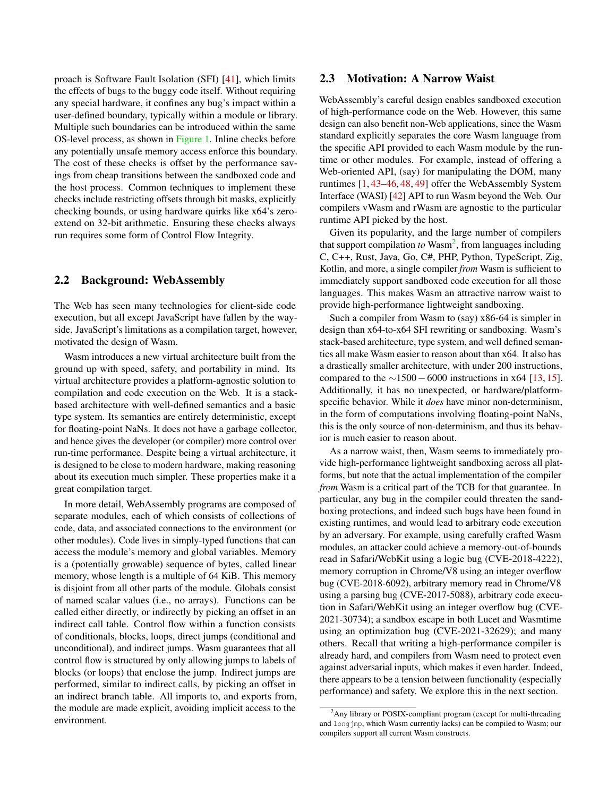proach is Software Fault Isolation (SFI) [\[41\]](#page-15-0), which limits the effects of bugs to the buggy code itself. Without requiring any special hardware, it confines any bug's impact within a user-defined boundary, typically within a module or library. Multiple such boundaries can be introduced within the same OS-level process, as shown in [Figure 1.](#page-1-2) Inline checks before any potentially unsafe memory access enforce this boundary. The cost of these checks is offset by the performance savings from cheap transitions between the sandboxed code and the host process. Common techniques to implement these checks include restricting offsets through bit masks, explicitly checking bounds, or using hardware quirks like x64's zeroextend on 32-bit arithmetic. Ensuring these checks always run requires some form of Control Flow Integrity.

#### <span id="page-2-0"></span>2.2 Background: WebAssembly

The Web has seen many technologies for client-side code execution, but all except JavaScript have fallen by the wayside. JavaScript's limitations as a compilation target, however, motivated the design of Wasm.

Wasm introduces a new virtual architecture built from the ground up with speed, safety, and portability in mind. Its virtual architecture provides a platform-agnostic solution to compilation and code execution on the Web. It is a stackbased architecture with well-defined semantics and a basic type system. Its semantics are entirely deterministic, except for floating-point NaNs. It does not have a garbage collector, and hence gives the developer (or compiler) more control over run-time performance. Despite being a virtual architecture, it is designed to be close to modern hardware, making reasoning about its execution much simpler. These properties make it a great compilation target.

In more detail, WebAssembly programs are composed of separate modules, each of which consists of collections of code, data, and associated connections to the environment (or other modules). Code lives in simply-typed functions that can access the module's memory and global variables. Memory is a (potentially growable) sequence of bytes, called linear memory, whose length is a multiple of 64 KiB. This memory is disjoint from all other parts of the module. Globals consist of named scalar values (i.e., no arrays). Functions can be called either directly, or indirectly by picking an offset in an indirect call table. Control flow within a function consists of conditionals, blocks, loops, direct jumps (conditional and unconditional), and indirect jumps. Wasm guarantees that all control flow is structured by only allowing jumps to labels of blocks (or loops) that enclose the jump. Indirect jumps are performed, similar to indirect calls, by picking an offset in an indirect branch table. All imports to, and exports from, the module are made explicit, avoiding implicit access to the environment.

## <span id="page-2-1"></span>2.3 Motivation: A Narrow Waist

WebAssembly's careful design enables sandboxed execution of high-performance code on the Web. However, this same design can also benefit non-Web applications, since the Wasm standard explicitly separates the core Wasm language from the specific API provided to each Wasm module by the runtime or other modules. For example, instead of offering a Web-oriented API, (say) for manipulating the DOM, many runtimes [\[1,](#page-14-6) [43–](#page-15-11)[46,](#page-15-9) [48,](#page-16-1) [49\]](#page-16-2) offer the WebAssembly System Interface (WASI) [\[42\]](#page-15-6) API to run Wasm beyond the Web. Our compilers vWasm and rWasm are agnostic to the particular runtime API picked by the host.

Given its popularity, and the large number of compilers that support compilation to Wasm<sup>[2](#page-2-2)</sup>, from languages including C, C++, Rust, Java, Go, C#, PHP, Python, TypeScript, Zig, Kotlin, and more, a single compiler *from* Wasm is sufficient to immediately support sandboxed code execution for all those languages. This makes Wasm an attractive narrow waist to provide high-performance lightweight sandboxing.

Such a compiler from Wasm to (say) x86-64 is simpler in design than x64-to-x64 SFI rewriting or sandboxing. Wasm's stack-based architecture, type system, and well defined semantics all make Wasm easier to reason about than x64. It also has a drastically smaller architecture, with under 200 instructions, compared to the  $\sim$ 1500 −6000 instructions in x64 [\[13,](#page-14-7) [15\]](#page-14-8). Additionally, it has no unexpected, or hardware/platformspecific behavior. While it *does* have minor non-determinism, in the form of computations involving floating-point NaNs, this is the only source of non-determinism, and thus its behavior is much easier to reason about.

As a narrow waist, then, Wasm seems to immediately provide high-performance lightweight sandboxing across all platforms, but note that the actual implementation of the compiler *from* Wasm is a critical part of the TCB for that guarantee. In particular, any bug in the compiler could threaten the sandboxing protections, and indeed such bugs have been found in existing runtimes, and would lead to arbitrary code execution by an adversary. For example, using carefully crafted Wasm modules, an attacker could achieve a memory-out-of-bounds read in Safari/WebKit using a logic bug (CVE-2018-4222), memory corruption in Chrome/V8 using an integer overflow bug (CVE-2018-6092), arbitrary memory read in Chrome/V8 using a parsing bug (CVE-2017-5088), arbitrary code execution in Safari/WebKit using an integer overflow bug (CVE-2021-30734); a sandbox escape in both Lucet and Wasmtime using an optimization bug (CVE-2021-32629); and many others. Recall that writing a high-performance compiler is already hard, and compilers from Wasm need to protect even against adversarial inputs, which makes it even harder. Indeed, there appears to be a tension between functionality (especially performance) and safety. We explore this in the next section.

<span id="page-2-2"></span><sup>2</sup>Any library or POSIX-compliant program (except for multi-threading and longjmp, which Wasm currently lacks) can be compiled to Wasm; our compilers support all current Wasm constructs.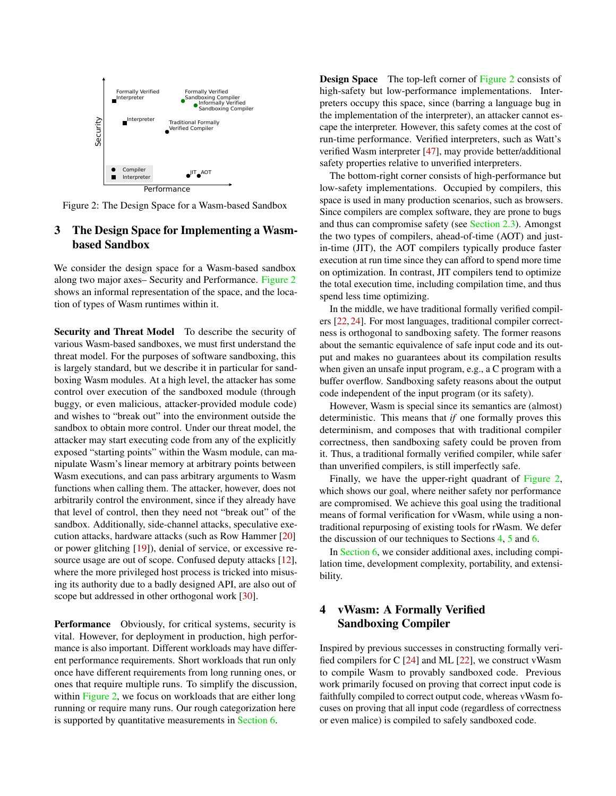<span id="page-3-2"></span>

Figure 2: The Design Space for a Wasm-based Sandbox

# <span id="page-3-0"></span>3 The Design Space for Implementing a Wasmbased Sandbox

We consider the design space for a Wasm-based sandbox along two major axes– Security and Performance. [Figure 2](#page-3-2) shows an informal representation of the space, and the location of types of Wasm runtimes within it.

Security and Threat Model To describe the security of various Wasm-based sandboxes, we must first understand the threat model. For the purposes of software sandboxing, this is largely standard, but we describe it in particular for sandboxing Wasm modules. At a high level, the attacker has some control over execution of the sandboxed module (through buggy, or even malicious, attacker-provided module code) and wishes to "break out" into the environment outside the sandbox to obtain more control. Under our threat model, the attacker may start executing code from any of the explicitly exposed "starting points" within the Wasm module, can manipulate Wasm's linear memory at arbitrary points between Wasm executions, and can pass arbitrary arguments to Wasm functions when calling them. The attacker, however, does not arbitrarily control the environment, since if they already have that level of control, then they need not "break out" of the sandbox. Additionally, side-channel attacks, speculative execution attacks, hardware attacks (such as Row Hammer [\[20\]](#page-14-9) or power glitching [\[19\]](#page-14-10)), denial of service, or excessive resource usage are out of scope. Confused deputy attacks [\[12\]](#page-14-11), where the more privileged host process is tricked into misusing its authority due to a badly designed API, are also out of scope but addressed in other orthogonal work [\[30\]](#page-15-3).

Performance Obviously, for critical systems, security is vital. However, for deployment in production, high performance is also important. Different workloads may have different performance requirements. Short workloads that run only once have different requirements from long running ones, or ones that require multiple runs. To simplify the discussion, within [Figure 2,](#page-3-2) we focus on workloads that are either long running or require many runs. Our rough categorization here is supported by quantitative measurements in [Section 6.](#page-9-1)

**Design Space** The top-left corner of [Figure 2](#page-3-2) consists of high-safety but low-performance implementations. Interpreters occupy this space, since (barring a language bug in the implementation of the interpreter), an attacker cannot escape the interpreter. However, this safety comes at the cost of run-time performance. Verified interpreters, such as Watt's verified Wasm interpreter [\[47\]](#page-15-12), may provide better/additional safety properties relative to unverified interpreters.

The bottom-right corner consists of high-performance but low-safety implementations. Occupied by compilers, this space is used in many production scenarios, such as browsers. Since compilers are complex software, they are prone to bugs and thus can compromise safety (see [Section 2.3\)](#page-2-1). Amongst the two types of compilers, ahead-of-time (AOT) and justin-time (JIT), the AOT compilers typically produce faster execution at run time since they can afford to spend more time on optimization. In contrast, JIT compilers tend to optimize the total execution time, including compilation time, and thus spend less time optimizing.

In the middle, we have traditional formally verified compilers [\[22,](#page-15-13) [24\]](#page-15-7). For most languages, traditional compiler correctness is orthogonal to sandboxing safety. The former reasons about the semantic equivalence of safe input code and its output and makes no guarantees about its compilation results when given an unsafe input program, e.g., a C program with a buffer overflow. Sandboxing safety reasons about the output code independent of the input program (or its safety).

However, Wasm is special since its semantics are (almost) deterministic. This means that *if* one formally proves this determinism, and composes that with traditional compiler correctness, then sandboxing safety could be proven from it. Thus, a traditional formally verified compiler, while safer than unverified compilers, is still imperfectly safe.

Finally, we have the upper-right quadrant of [Figure 2,](#page-3-2) which shows our goal, where neither safety nor performance are compromised. We achieve this goal using the traditional means of formal verification for vWasm, while using a nontraditional repurposing of existing tools for rWasm. We defer the discussion of our techniques to Sections [4,](#page-3-1) [5](#page-6-0) and [6.](#page-9-1)

In [Section 6,](#page-9-1) we consider additional axes, including compilation time, development complexity, portability, and extensibility.

# <span id="page-3-1"></span>4 vWasm: A Formally Verified Sandboxing Compiler

Inspired by previous successes in constructing formally verified compilers for C [\[24\]](#page-15-7) and ML [\[22\]](#page-15-13), we construct vWasm to compile Wasm to provably sandboxed code. Previous work primarily focused on proving that correct input code is faithfully compiled to correct output code, whereas vWasm focuses on proving that all input code (regardless of correctness or even malice) is compiled to safely sandboxed code.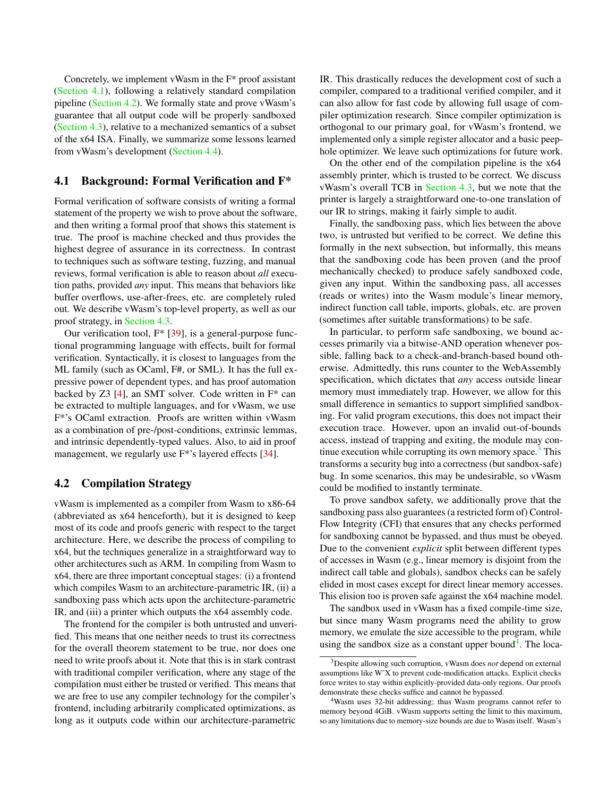Concretely, we implement vWasm in the F\* proof assistant [\(Section 4.1\)](#page-4-0), following a relatively standard compilation pipeline [\(Section 4.2\)](#page-4-1). We formally state and prove vWasm's guarantee that all output code will be properly sandboxed [\(Section 4.3\)](#page-5-0), relative to a mechanized semantics of a subset of the x64 ISA. Finally, we summarize some lessons learned from vWasm's development [\(Section 4.4\)](#page-6-1).

#### <span id="page-4-0"></span>4.1 Background: Formal Verification and F\*

Formal verification of software consists of writing a formal statement of the property we wish to prove about the software, and then writing a formal proof that shows this statement is true. The proof is machine checked and thus provides the highest degree of assurance in its correctness. In contrast to techniques such as software testing, fuzzing, and manual reviews, formal verification is able to reason about *all* execution paths, provided *any* input. This means that behaviors like buffer overflows, use-after-frees, etc. are completely ruled out. We describe vWasm's top-level property, as well as our proof strategy, in [Section 4.3.](#page-5-0)

Our verification tool,  $F^*$  [\[39\]](#page-15-8), is a general-purpose functional programming language with effects, built for formal verification. Syntactically, it is closest to languages from the ML family (such as OCaml, F#, or SML). It has the full expressive power of dependent types, and has proof automation backed by Z3  $[4]$ , an SMT solver. Code written in  $F^*$  can be extracted to multiple languages, and for vWasm, we use F\*'s OCaml extraction. Proofs are written within vWasm as a combination of pre-/post-conditions, extrinsic lemmas, and intrinsic dependently-typed values. Also, to aid in proof management, we regularly use F<sup>\*</sup>'s layered effects [\[34\]](#page-15-14).

### <span id="page-4-1"></span>4.2 Compilation Strategy

vWasm is implemented as a compiler from Wasm to x86-64 (abbreviated as x64 henceforth), but it is designed to keep most of its code and proofs generic with respect to the target architecture. Here, we describe the process of compiling to x64, but the techniques generalize in a straightforward way to other architectures such as ARM. In compiling from Wasm to x64, there are three important conceptual stages: (i) a frontend which compiles Wasm to an architecture-parametric IR, (ii) a sandboxing pass which acts upon the architecture-parametric IR, and (iii) a printer which outputs the x64 assembly code.

The frontend for the compiler is both untrusted and unverified. This means that one neither needs to trust its correctness for the overall theorem statement to be true, nor does one need to write proofs about it. Note that this is in stark contrast with traditional compiler verification, where any stage of the compilation must either be trusted or verified. This means that we are free to use any compiler technology for the compiler's frontend, including arbitrarily complicated optimizations, as long as it outputs code within our architecture-parametric

IR. This drastically reduces the development cost of such a compiler, compared to a traditional verified compiler, and it can also allow for fast code by allowing full usage of compiler optimization research. Since compiler optimization is orthogonal to our primary goal, for vWasm's frontend, we implemented only a simple register allocator and a basic peephole optimizer. We leave such optimizations for future work.

On the other end of the compilation pipeline is the x64 assembly printer, which is trusted to be correct. We discuss vWasm's overall TCB in [Section 4.3,](#page-5-0) but we note that the printer is largely a straightforward one-to-one translation of our IR to strings, making it fairly simple to audit.

Finally, the sandboxing pass, which lies between the above two, is untrusted but verified to be correct. We define this formally in the next subsection, but informally, this means that the sandboxing code has been proven (and the proof mechanically checked) to produce safely sandboxed code, given any input. Within the sandboxing pass, all accesses (reads or writes) into the Wasm module's linear memory, indirect function call table, imports, globals, etc. are proven (sometimes after suitable transformations) to be safe.

In particular, to perform safe sandboxing, we bound accesses primarily via a bitwise-AND operation whenever possible, falling back to a check-and-branch-based bound otherwise. Admittedly, this runs counter to the WebAssembly specification, which dictates that *any* access outside linear memory must immediately trap. However, we allow for this small difference in semantics to support simplified sandboxing. For valid program executions, this does not impact their execution trace. However, upon an invalid out-of-bounds access, instead of trapping and exiting, the module may continue execution while corrupting its own memory space. $3$  This transforms a security bug into a correctness (but sandbox-safe) bug. In some scenarios, this may be undesirable, so vWasm could be modified to instantly terminate.

To prove sandbox safety, we additionally prove that the sandboxing pass also guarantees (a restricted form of) Control-Flow Integrity (CFI) that ensures that any checks performed for sandboxing cannot be bypassed, and thus must be obeyed. Due to the convenient *explicit* split between different types of accesses in Wasm (e.g., linear memory is disjoint from the indirect call table and globals), sandbox checks can be safely elided in most cases except for direct linear memory accesses. This elision too is proven safe against the x64 machine model.

The sandbox used in vWasm has a fixed compile-time size, but since many Wasm programs need the ability to grow memory, we emulate the size accessible to the program, while using the sandbox size as a constant upper bound<sup>[4](#page-4-3)</sup>. The loca-

<span id="page-4-2"></span><sup>3</sup>Despite allowing such corruption, vWasm does *not* depend on external assumptions like WˆX to prevent code-modification attacks. Explicit checks force writes to stay within explicitly-provided data-only regions. Our proofs demonstrate these checks suffice and cannot be bypassed.

<span id="page-4-3"></span><sup>4</sup>Wasm uses 32-bit addressing; thus Wasm programs cannot refer to memory beyond 4GiB. vWasm supports setting the limit to this maximum, so any limitations due to memory-size bounds are due to Wasm itself. Wasm's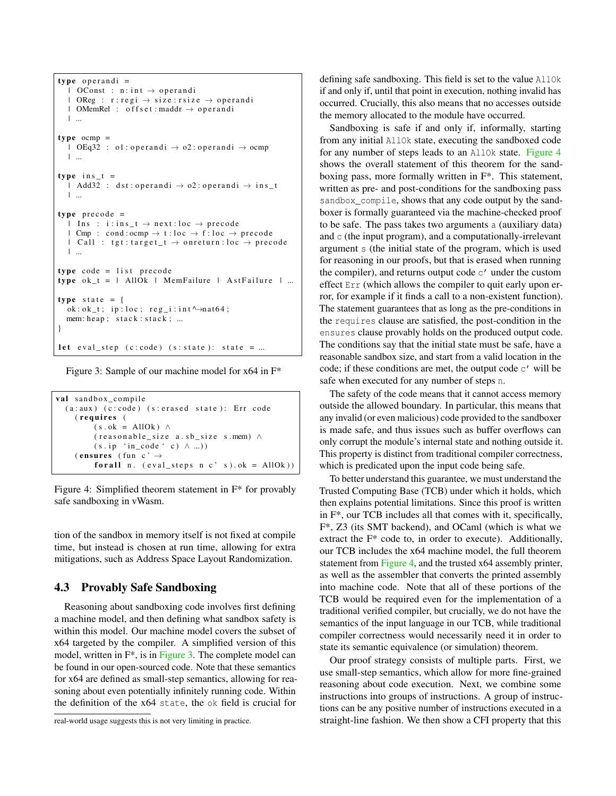```
type operandi =
  \perp OConst : n: int \rightarrow operandi
  \blacksquare OReg : r: regi \rightarrow size : rsize \rightarrow operandi
  \blacksquare OMemRel : offset : maddr \rightarrow operandi
  | ...
type ocmp =\log 32 : o1 : operandi \rightarrow o2 : operandi \rightarrow ocmp
  | ...
type ins_t =| Add32 : dst:operandi \rightarrow 02:operandi \rightarrow ins t
  | ...
type precode =
   | Ins : i: ins_t \rightarrow next: loc \rightarrow precode
  \perp Cmp : cond: ocmp \rightarrow t: loc \rightarrow f: loc \rightarrow precode
  \perp Call : tgt:target_t \rightarrow on return : loc \rightarrow precode
  | ...
type code = list precedetype ok_t = | AllOk | MemFailure | AstFailure | ...
type state = {
  ok: ok_t; ip:loc; reg_i: int \rightarrow nat64;
  mem: heap; stack: stack; ...
}
let eval_step (c:code) (s:state): state = ...
```
Figure 3: Sample of our machine model for x64 in F\*

```
val sandbox_compile
  (a : aux) (c : code) (s : erased state): Err code
    (requires (
          (s \cdot ok = AllOk) ∧
          (reasonable_size a.sb_size s. mem) \wedge(s . ip 'in\_code ' c) \wedge ... )( ensures ( fun c' \rightarrowfor all n. \left(\text{eval\_steps}\ n\ c' \ s\right). ok = AllOk)
```
Figure 4: Simplified theorem statement in F\* for provably safe sandboxing in vWasm.

tion of the sandbox in memory itself is not fixed at compile time, but instead is chosen at run time, allowing for extra mitigations, such as Address Space Layout Randomization.

## <span id="page-5-0"></span>4.3 Provably Safe Sandboxing

Reasoning about sandboxing code involves first defining a machine model, and then defining what sandbox safety is within this model. Our machine model covers the subset of x64 targeted by the compiler. A simplified version of this model, written in  $F^*$ , is in [Figure 3.](#page-5-1) The complete model can be found in our open-sourced code. Note that these semantics for x64 are defined as small-step semantics, allowing for reasoning about even potentially infinitely running code. Within the definition of the x64 state, the ok field is crucial for

defining safe sandboxing. This field is set to the value AllOk if and only if, until that point in execution, nothing invalid has occurred. Crucially, this also means that no accesses outside the memory allocated to the module have occurred.

Sandboxing is safe if and only if, informally, starting from any initial AllOk state, executing the sandboxed code for any number of steps leads to an AllOk state. [Figure 4](#page-5-2) shows the overall statement of this theorem for the sandboxing pass, more formally written in F\*. This statement, written as pre- and post-conditions for the sandboxing pass sandbox compile, shows that any code output by the sandboxer is formally guaranteed via the machine-checked proof to be safe. The pass takes two arguments a (auxiliary data) and c (the input program), and a computationally-irrelevant argument s (the initial state of the program, which is used for reasoning in our proofs, but that is erased when running the compiler), and returns output code  $\mathfrak{c}'$  under the custom effect Err (which allows the compiler to quit early upon error, for example if it finds a call to a non-existent function). The statement guarantees that as long as the pre-conditions in the requires clause are satisfied, the post-condition in the ensures clause provably holds on the produced output code. The conditions say that the initial state must be safe, have a reasonable sandbox size, and start from a valid location in the code; if these conditions are met, the output code c' will be safe when executed for any number of steps n.

The safety of the code means that it cannot access memory outside the allowed boundary. In particular, this means that any invalid (or even malicious) code provided to the sandboxer is made safe, and thus issues such as buffer overflows can only corrupt the module's internal state and nothing outside it. This property is distinct from traditional compiler correctness, which is predicated upon the input code being safe.

To better understand this guarantee, we must understand the Trusted Computing Base (TCB) under which it holds, which then explains potential limitations. Since this proof is written in F\*, our TCB includes all that comes with it, specifically, F\*, Z3 (its SMT backend), and OCaml (which is what we extract the F\* code to, in order to execute). Additionally, our TCB includes the x64 machine model, the full theorem statement from [Figure 4,](#page-5-2) and the trusted x64 assembly printer, as well as the assembler that converts the printed assembly into machine code. Note that all of these portions of the TCB would be required even for the implementation of a traditional verified compiler, but crucially, we do not have the semantics of the input language in our TCB, while traditional compiler correctness would necessarily need it in order to state its semantic equivalence (or simulation) theorem.

Our proof strategy consists of multiple parts. First, we use small-step semantics, which allow for more fine-grained reasoning about code execution. Next, we combine some instructions into groups of instructions. A group of instructions can be any positive number of instructions executed in a straight-line fashion. We then show a CFI property that this

real-world usage suggests this is not very limiting in practice.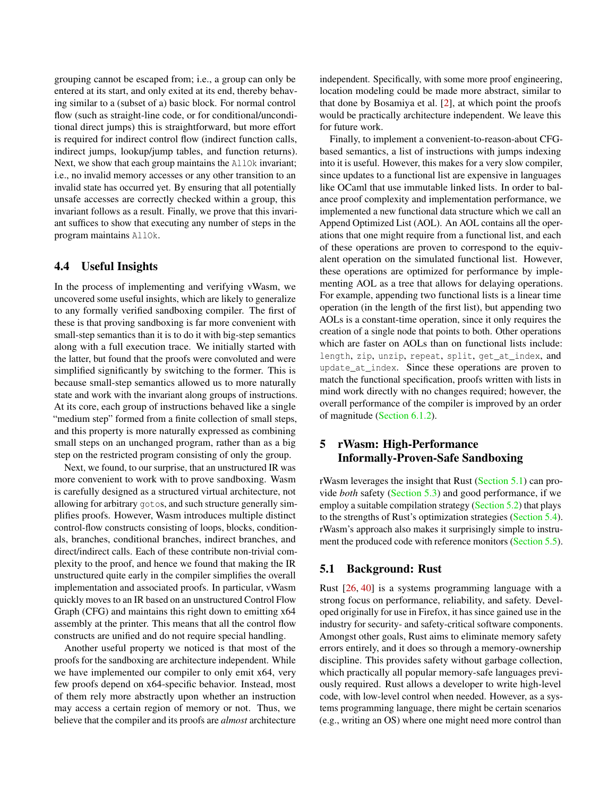grouping cannot be escaped from; i.e., a group can only be entered at its start, and only exited at its end, thereby behaving similar to a (subset of a) basic block. For normal control flow (such as straight-line code, or for conditional/unconditional direct jumps) this is straightforward, but more effort is required for indirect control flow (indirect function calls, indirect jumps, lookup/jump tables, and function returns). Next, we show that each group maintains the AllOk invariant; i.e., no invalid memory accesses or any other transition to an invalid state has occurred yet. By ensuring that all potentially unsafe accesses are correctly checked within a group, this invariant follows as a result. Finally, we prove that this invariant suffices to show that executing any number of steps in the program maintains AllOk.

#### <span id="page-6-1"></span>4.4 Useful Insights

In the process of implementing and verifying vWasm, we uncovered some useful insights, which are likely to generalize to any formally verified sandboxing compiler. The first of these is that proving sandboxing is far more convenient with small-step semantics than it is to do it with big-step semantics along with a full execution trace. We initially started with the latter, but found that the proofs were convoluted and were simplified significantly by switching to the former. This is because small-step semantics allowed us to more naturally state and work with the invariant along groups of instructions. At its core, each group of instructions behaved like a single "medium step" formed from a finite collection of small steps, and this property is more naturally expressed as combining small steps on an unchanged program, rather than as a big step on the restricted program consisting of only the group.

Next, we found, to our surprise, that an unstructured IR was more convenient to work with to prove sandboxing. Wasm is carefully designed as a structured virtual architecture, not allowing for arbitrary gotos, and such structure generally simplifies proofs. However, Wasm introduces multiple distinct control-flow constructs consisting of loops, blocks, conditionals, branches, conditional branches, indirect branches, and direct/indirect calls. Each of these contribute non-trivial complexity to the proof, and hence we found that making the IR unstructured quite early in the compiler simplifies the overall implementation and associated proofs. In particular, vWasm quickly moves to an IR based on an unstructured Control Flow Graph (CFG) and maintains this right down to emitting x64 assembly at the printer. This means that all the control flow constructs are unified and do not require special handling.

Another useful property we noticed is that most of the proofs for the sandboxing are architecture independent. While we have implemented our compiler to only emit x64, very few proofs depend on x64-specific behavior. Instead, most of them rely more abstractly upon whether an instruction may access a certain region of memory or not. Thus, we believe that the compiler and its proofs are *almost* architecture independent. Specifically, with some more proof engineering, location modeling could be made more abstract, similar to that done by Bosamiya et al. [\[2\]](#page-14-13), at which point the proofs would be practically architecture independent. We leave this for future work.

Finally, to implement a convenient-to-reason-about CFGbased semantics, a list of instructions with jumps indexing into it is useful. However, this makes for a very slow compiler, since updates to a functional list are expensive in languages like OCaml that use immutable linked lists. In order to balance proof complexity and implementation performance, we implemented a new functional data structure which we call an Append Optimized List (AOL). An AOL contains all the operations that one might require from a functional list, and each of these operations are proven to correspond to the equivalent operation on the simulated functional list. However, these operations are optimized for performance by implementing AOL as a tree that allows for delaying operations. For example, appending two functional lists is a linear time operation (in the length of the first list), but appending two AOLs is a constant-time operation, since it only requires the creation of a single node that points to both. Other operations which are faster on AOLs than on functional lists include: length, zip, unzip, repeat, split, get\_at\_index, and update\_at\_index. Since these operations are proven to match the functional specification, proofs written with lists in mind work directly with no changes required; however, the overall performance of the compiler is improved by an order of magnitude [\(Section 6.1.2\)](#page-10-0).

# <span id="page-6-0"></span>5 rWasm: High-Performance Informally-Proven-Safe Sandboxing

rWasm leverages the insight that Rust [\(Section 5.1\)](#page-6-2) can provide *both* safety [\(Section 5.3\)](#page-7-0) and good performance, if we employ a suitable compilation strategy [\(Section 5.2\)](#page-7-1) that plays to the strengths of Rust's optimization strategies [\(Section 5.4\)](#page-7-2). rWasm's approach also makes it surprisingly simple to instrument the produced code with reference monitors [\(Section 5.5\)](#page-9-2).

# <span id="page-6-2"></span>5.1 Background: Rust

Rust [\[26,](#page-15-15) [40\]](#page-15-16) is a systems programming language with a strong focus on performance, reliability, and safety. Developed originally for use in Firefox, it has since gained use in the industry for security- and safety-critical software components. Amongst other goals, Rust aims to eliminate memory safety errors entirely, and it does so through a memory-ownership discipline. This provides safety without garbage collection, which practically all popular memory-safe languages previously required. Rust allows a developer to write high-level code, with low-level control when needed. However, as a systems programming language, there might be certain scenarios (e.g., writing an OS) where one might need more control than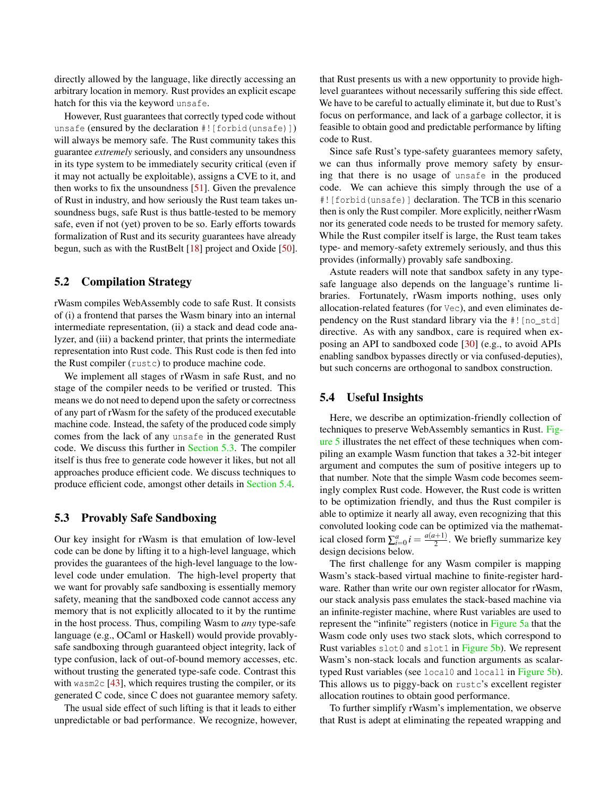directly allowed by the language, like directly accessing an arbitrary location in memory. Rust provides an explicit escape hatch for this via the keyword unsafe.

However, Rust guarantees that correctly typed code without unsafe (ensured by the declaration #![forbid(unsafe)]) will always be memory safe. The Rust community takes this guarantee *extremely* seriously, and considers any unsoundness in its type system to be immediately security critical (even if it may not actually be exploitable), assigns a CVE to it, and then works to fix the unsoundness [\[51\]](#page-16-3). Given the prevalence of Rust in industry, and how seriously the Rust team takes unsoundness bugs, safe Rust is thus battle-tested to be memory safe, even if not (yet) proven to be so. Early efforts towards formalization of Rust and its security guarantees have already begun, such as with the RustBelt [\[18\]](#page-14-14) project and Oxide [\[50\]](#page-16-4).

## <span id="page-7-1"></span>5.2 Compilation Strategy

rWasm compiles WebAssembly code to safe Rust. It consists of (i) a frontend that parses the Wasm binary into an internal intermediate representation, (ii) a stack and dead code analyzer, and (iii) a backend printer, that prints the intermediate representation into Rust code. This Rust code is then fed into the Rust compiler (rustc) to produce machine code.

We implement all stages of rWasm in safe Rust, and no stage of the compiler needs to be verified or trusted. This means we do not need to depend upon the safety or correctness of any part of rWasm for the safety of the produced executable machine code. Instead, the safety of the produced code simply comes from the lack of any unsafe in the generated Rust code. We discuss this further in [Section 5.3.](#page-7-0) The compiler itself is thus free to generate code however it likes, but not all approaches produce efficient code. We discuss techniques to produce efficient code, amongst other details in [Section 5.4.](#page-7-2)

### <span id="page-7-0"></span>5.3 Provably Safe Sandboxing

Our key insight for rWasm is that emulation of low-level code can be done by lifting it to a high-level language, which provides the guarantees of the high-level language to the lowlevel code under emulation. The high-level property that we want for provably safe sandboxing is essentially memory safety, meaning that the sandboxed code cannot access any memory that is not explicitly allocated to it by the runtime in the host process. Thus, compiling Wasm to *any* type-safe language (e.g., OCaml or Haskell) would provide provablysafe sandboxing through guaranteed object integrity, lack of type confusion, lack of out-of-bound memory accesses, etc. without trusting the generated type-safe code. Contrast this with wasm2c  $[43]$ , which requires trusting the compiler, or its generated C code, since C does not guarantee memory safety.

The usual side effect of such lifting is that it leads to either unpredictable or bad performance. We recognize, however,

that Rust presents us with a new opportunity to provide highlevel guarantees without necessarily suffering this side effect. We have to be careful to actually eliminate it, but due to Rust's focus on performance, and lack of a garbage collector, it is feasible to obtain good and predictable performance by lifting code to Rust.

Since safe Rust's type-safety guarantees memory safety, we can thus informally prove memory safety by ensuring that there is no usage of unsafe in the produced code. We can achieve this simply through the use of a #![forbid(unsafe)] declaration. The TCB in this scenario then is only the Rust compiler. More explicitly, neither rWasm nor its generated code needs to be trusted for memory safety. While the Rust compiler itself is large, the Rust team takes type- and memory-safety extremely seriously, and thus this provides (informally) provably safe sandboxing.

Astute readers will note that sandbox safety in any typesafe language also depends on the language's runtime libraries. Fortunately, rWasm imports nothing, uses only allocation-related features (for Vec), and even eliminates dependency on the Rust standard library via the #! [no\_std] directive. As with any sandbox, care is required when exposing an API to sandboxed code [\[30\]](#page-15-3) (e.g., to avoid APIs enabling sandbox bypasses directly or via confused-deputies), but such concerns are orthogonal to sandbox construction.

#### <span id="page-7-2"></span>5.4 Useful Insights

Here, we describe an optimization-friendly collection of techniques to preserve WebAssembly semantics in Rust. [Fig](#page-8-0)[ure 5](#page-8-0) illustrates the net effect of these techniques when compiling an example Wasm function that takes a 32-bit integer argument and computes the sum of positive integers up to that number. Note that the simple Wasm code becomes seemingly complex Rust code. However, the Rust code is written to be optimization friendly, and thus the Rust compiler is able to optimize it nearly all away, even recognizing that this convoluted looking code can be optimized via the mathematical closed form  $\sum_{i=0}^{a} i = \frac{a(a+1)}{2}$  $\frac{2^{(n+1)}}{2}$ . We briefly summarize key design decisions below.

The first challenge for any Wasm compiler is mapping Wasm's stack-based virtual machine to finite-register hardware. Rather than write our own register allocator for rWasm, our stack analysis pass emulates the stack-based machine via an infinite-register machine, where Rust variables are used to represent the "infinite" registers (notice in [Figure 5a](#page-8-1) that the Wasm code only uses two stack slots, which correspond to Rust variables slot0 and slot1 in [Figure 5b\)](#page-8-2). We represent Wasm's non-stack locals and function arguments as scalar-typed Rust variables (see local0 and local1 in [Figure 5b\)](#page-8-2). This allows us to piggy-back on rustc's excellent register allocation routines to obtain good performance.

To further simplify rWasm's implementation, we observe that Rust is adept at eliminating the repeated wrapping and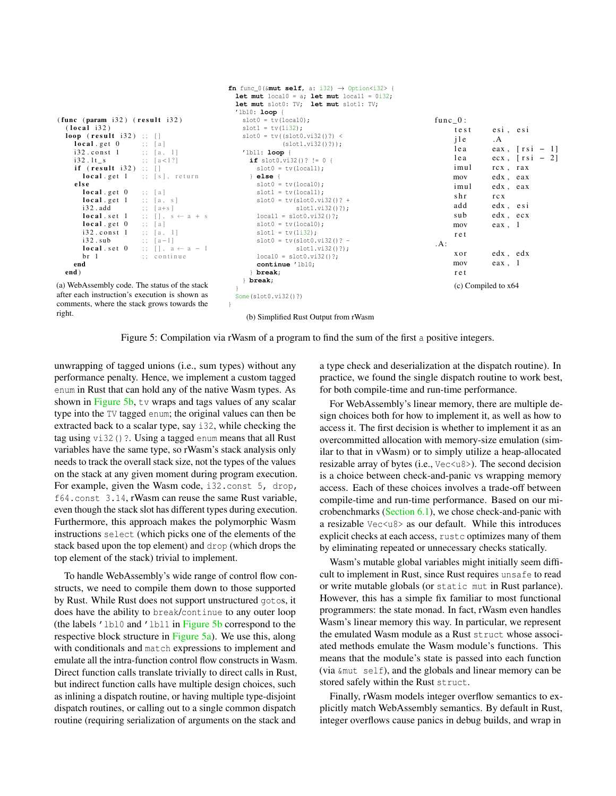```
(func (param i32) (result i32)(local i32)loop (result i32);
    \textbf{local.get 0} ;; [a]
    i32 \cdot const \quad 1 \qquad ; \quad [a, 1]i32.1t_s ;; [a <1?]
     if (result i32);;
       local.get 1 ;; [s], return
     e l s e
       local.get 0 ;; [a]
       local.get 1;; [a, s]i 3 2 . add ;; [a+s]
       local. set 1 ;; [], s \leftarrow a + s<br>local. get 0 ;; [a]local.get 0 ;; [a]<br>i32.const 1 ;; [a, 1]
       i32.cons t 1;;
       i32. sub ;; [a-1]<br>local. set 0 ;; [1, a][ ], a \leftarrow a - 1br 1 ;; continue
    end
  end )
(a) WebAssembly code. The status of the stack
after each instruction's execution is shown as
                                              fn func_0(\text{kmut} self, a: i32) \rightarrow Option<i32> {
                                                let mut local0 = a; let mut local1 = 0i32;
                                                let mut slot0: TV; let mut slot1: TV;
                                                'lbl0: loop {
                                                 slot0 = tv(local0);slot1 = tv(1i32);
                                                  slot0 = tv((slot0.vi32()?) <
                                                            (slot1.vi32()?));
                                                  'lbl1: loop {
                                                   if slot0.vi32()? != 0 {
                                                     slot0 = tv(local1);} else {
                                                     slot0 = tv(local0):
                                                     slot1 = tv(local1);slot0 = tv(slot0.vi32()? +slot1.vi32()?);
                                                     local1 = slot0.vi32() ?:
                                                     slot0 = tv(local0);slot1 = tv(1i32);
                                                     slot0 = tv(slot0.vi32()? -slot1.vi32()?);
                                                     local0 = slot0.vi32()?;
                                                      continue 'lbl0;
                                                    } break;
                                                  } break;
                                                }
                                                Some(slot0.vi32()?)
                                              }
                                                                                                      func_0:
                                                                                                          te st esi, esi
                                                                                                          j 1 e . A
                                                                                                           lea eax, [ r s i - 1]
                                                                                                          1ea ecx, [rsi - 2]imul rcx, rax
                                                                                                          mov edx , eax
                                                                                                          imul edx , eax
                                                                                                          shr r c x
                                                                                                          add edx esi
                                                                                                          sub edx, ecx
                                                                                                          mov eax, 1
                                                                                                           r e t
                                                                                                     .A:
                                                                                                           xor edx , edx
                                                                                                          mov eax , 1
                                                                                                           r e t
                                                                                                           (c) Compiled to x64
```
comments, where the stack grows towards the right.

<span id="page-8-2"></span>(b) Simplified Rust Output from rWasm

Figure 5: Compilation via rWasm of a program to find the sum of the first a positive integers.

unwrapping of tagged unions (i.e., sum types) without any performance penalty. Hence, we implement a custom tagged enum in Rust that can hold any of the native Wasm types. As shown in [Figure 5b,](#page-8-2) tv wraps and tags values of any scalar type into the TV tagged enum; the original values can then be extracted back to a scalar type, say i32, while checking the tag using vi32()?. Using a tagged enum means that all Rust variables have the same type, so rWasm's stack analysis only needs to track the overall stack size, not the types of the values on the stack at any given moment during program execution. For example, given the Wasm code, i32.const 5, drop, f64.const 3.14, rWasm can reuse the same Rust variable, even though the stack slot has different types during execution. Furthermore, this approach makes the polymorphic Wasm instructions select (which picks one of the elements of the stack based upon the top element) and drop (which drops the top element of the stack) trivial to implement.

To handle WebAssembly's wide range of control flow constructs, we need to compile them down to those supported by Rust. While Rust does not support unstructured gotos, it does have the ability to break/continue to any outer loop (the labels 'lbl0 and 'lbl1 in [Figure 5b](#page-8-2) correspond to the respective block structure in [Figure 5a\)](#page-8-1). We use this, along with conditionals and match expressions to implement and emulate all the intra-function control flow constructs in Wasm. Direct function calls translate trivially to direct calls in Rust, but indirect function calls have multiple design choices, such as inlining a dispatch routine, or having multiple type-disjoint dispatch routines, or calling out to a single common dispatch routine (requiring serialization of arguments on the stack and

a type check and deserialization at the dispatch routine). In practice, we found the single dispatch routine to work best, for both compile-time and run-time performance.

For WebAssembly's linear memory, there are multiple design choices both for how to implement it, as well as how to access it. The first decision is whether to implement it as an overcommitted allocation with memory-size emulation (similar to that in vWasm) or to simply utilize a heap-allocated resizable array of bytes (i.e., Vec<u8>). The second decision is a choice between check-and-panic vs wrapping memory access. Each of these choices involves a trade-off between compile-time and run-time performance. Based on our microbenchmarks [\(Section 6.1\)](#page-9-0), we chose check-and-panic with a resizable Vec<u8> as our default. While this introduces explicit checks at each access, rustc optimizes many of them by eliminating repeated or unnecessary checks statically.

Wasm's mutable global variables might initially seem difficult to implement in Rust, since Rust requires unsafe to read or write mutable globals (or static mut in Rust parlance). However, this has a simple fix familiar to most functional programmers: the state monad. In fact, rWasm even handles Wasm's linear memory this way. In particular, we represent the emulated Wasm module as a Rust struct whose associated methods emulate the Wasm module's functions. This means that the module's state is passed into each function (via &mut self), and the globals and linear memory can be stored safely within the Rust struct.

Finally, rWasm models integer overflow semantics to explicitly match WebAssembly semantics. By default in Rust, integer overflows cause panics in debug builds, and wrap in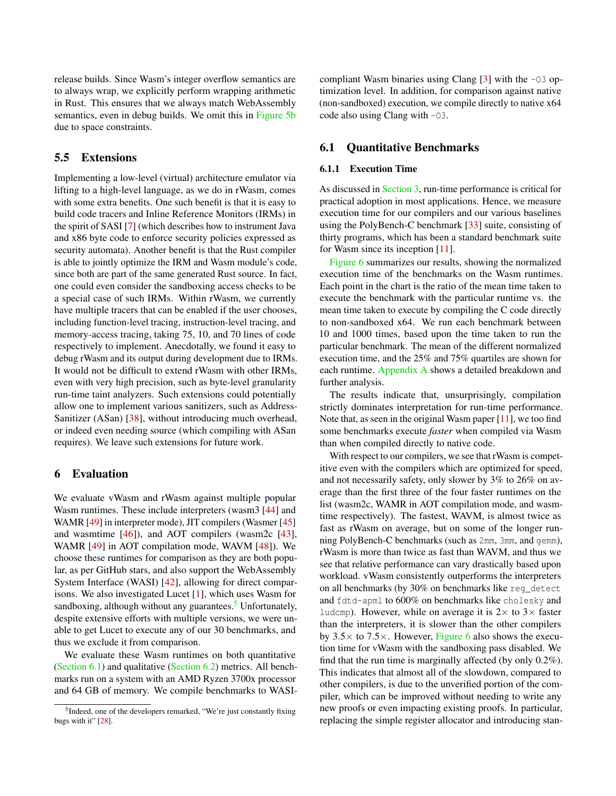release builds. Since Wasm's integer overflow semantics are to always wrap, we explicitly perform wrapping arithmetic in Rust. This ensures that we always match WebAssembly semantics, even in debug builds. We omit this in [Figure 5b](#page-8-2) due to space constraints.

#### <span id="page-9-2"></span>5.5 Extensions

Implementing a low-level (virtual) architecture emulator via lifting to a high-level language, as we do in rWasm, comes with some extra benefits. One such benefit is that it is easy to build code tracers and Inline Reference Monitors (IRMs) in the spirit of SASI [\[7\]](#page-14-0) (which describes how to instrument Java and x86 byte code to enforce security policies expressed as security automata). Another benefit is that the Rust compiler is able to jointly optimize the IRM and Wasm module's code, since both are part of the same generated Rust source. In fact, one could even consider the sandboxing access checks to be a special case of such IRMs. Within rWasm, we currently have multiple tracers that can be enabled if the user chooses, including function-level tracing, instruction-level tracing, and memory-access tracing, taking 75, 10, and 70 lines of code respectively to implement. Anecdotally, we found it easy to debug rWasm and its output during development due to IRMs. It would not be difficult to extend rWasm with other IRMs, even with very high precision, such as byte-level granularity run-time taint analyzers. Such extensions could potentially allow one to implement various sanitizers, such as Address-Sanitizer (ASan) [\[38\]](#page-15-17), without introducing much overhead, or indeed even needing source (which compiling with ASan requires). We leave such extensions for future work.

## <span id="page-9-1"></span>6 Evaluation

We evaluate vWasm and rWasm against multiple popular Wasm runtimes. These include interpreters (wasm3 [\[44\]](#page-15-18) and WAMR [\[49\]](#page-16-2) in interpreter mode), JIT compilers (Wasmer [\[45\]](#page-15-19) and wasmtime [\[46\]](#page-15-9)), and AOT compilers (wasm2c [\[43\]](#page-15-11), WAMR [\[49\]](#page-16-2) in AOT compilation mode, WAVM [\[48\]](#page-16-1)). We choose these runtimes for comparison as they are both popular, as per GitHub stars, and also support the WebAssembly System Interface (WASI) [\[42\]](#page-15-6), allowing for direct comparisons. We also investigated Lucet [\[1\]](#page-14-6), which uses Wasm for sandboxing, although without any guarantees. $5$  Unfortunately, despite extensive efforts with multiple versions, we were unable to get Lucet to execute any of our 30 benchmarks, and thus we exclude it from comparison.

We evaluate these Wasm runtimes on both quantitative [\(Section 6.1\)](#page-9-0) and qualitative [\(Section 6.2\)](#page-11-0) metrics. All benchmarks run on a system with an AMD Ryzen 3700x processor and 64 GB of memory. We compile benchmarks to WASI- compliant Wasm binaries using Clang [\[3\]](#page-14-15) with the -O3 optimization level. In addition, for comparison against native (non-sandboxed) execution, we compile directly to native x64 code also using Clang with -O3.

#### <span id="page-9-0"></span>6.1 Quantitative Benchmarks

#### 6.1.1 Execution Time

As discussed in [Section 3,](#page-3-0) run-time performance is critical for practical adoption in most applications. Hence, we measure execution time for our compilers and our various baselines using the PolyBench-C benchmark [\[33\]](#page-15-21) suite, consisting of thirty programs, which has been a standard benchmark suite for Wasm since its inception [\[11\]](#page-14-3).

[Figure 6](#page-10-1) summarizes our results, showing the normalized execution time of the benchmarks on the Wasm runtimes. Each point in the chart is the ratio of the mean time taken to execute the benchmark with the particular runtime vs. the mean time taken to execute by compiling the C code directly to non-sandboxed x64. We run each benchmark between 10 and 1000 times, based upon the time taken to run the particular benchmark. The mean of the different normalized execution time, and the 25% and 75% quartiles are shown for each runtime. [Appendix A](#page-17-0) shows a detailed breakdown and further analysis.

The results indicate that, unsurprisingly, compilation strictly dominates interpretation for run-time performance. Note that, as seen in the original Wasm paper [\[11\]](#page-14-3), we too find some benchmarks execute *faster* when compiled via Wasm than when compiled directly to native code.

With respect to our compilers, we see that rWasm is competitive even with the compilers which are optimized for speed, and not necessarily safety, only slower by 3% to 26% on average than the first three of the four faster runtimes on the list (wasm2c, WAMR in AOT compilation mode, and wasmtime respectively). The fastest, WAVM, is almost twice as fast as rWasm on average, but on some of the longer running PolyBench-C benchmarks (such as 2mm, 3mm, and gemm), rWasm is more than twice as fast than WAVM, and thus we see that relative performance can vary drastically based upon workload. vWasm consistently outperforms the interpreters on all benchmarks (by 30% on benchmarks like reg\_detect and fdtd-apml to 600% on benchmarks like cholesky and ludcmp). However, while on average it is  $2 \times$  to  $3 \times$  faster than the interpreters, it is slower than the other compilers by  $3.5\times$  to  $7.5\times$ . However, [Figure 6](#page-10-1) also shows the execution time for vWasm with the sandboxing pass disabled. We find that the run time is marginally affected (by only 0.2%). This indicates that almost all of the slowdown, compared to other compilers, is due to the unverified portion of the compiler, which can be improved without needing to write any new proofs or even impacting existing proofs. In particular, replacing the simple register allocator and introducing stan-

<span id="page-9-3"></span><sup>&</sup>lt;sup>5</sup>Indeed, one of the developers remarked, "We're just constantly fixing bugs with it" [\[28\]](#page-15-20).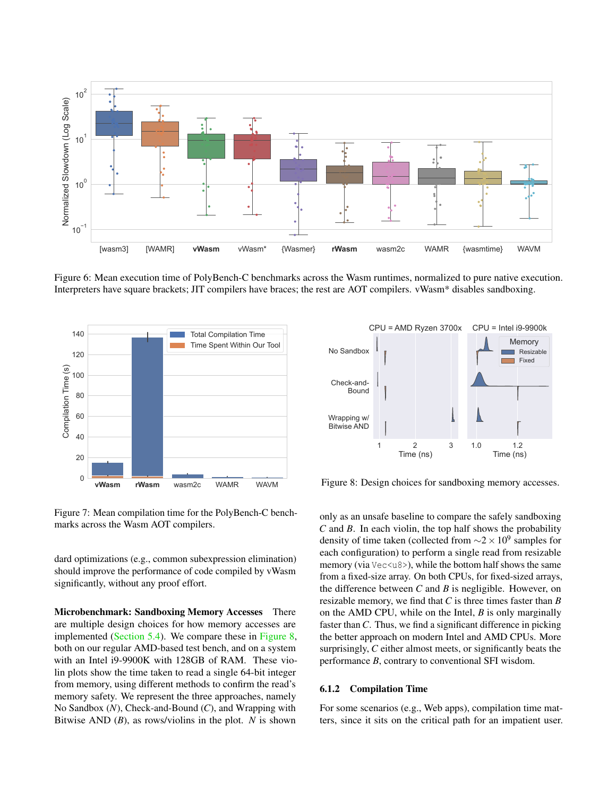<span id="page-10-1"></span>

Figure 6: Mean execution time of PolyBench-C benchmarks across the Wasm runtimes, normalized to pure native execution. Interpreters have square brackets; JIT compilers have braces; the rest are AOT compilers. vWasm\* disables sandboxing.

<span id="page-10-3"></span>

Figure 7: Mean compilation time for the PolyBench-C benchmarks across the Wasm AOT compilers.

dard optimizations (e.g., common subexpression elimination) should improve the performance of code compiled by vWasm significantly, without any proof effort.

Microbenchmark: Sandboxing Memory Accesses There are multiple design choices for how memory accesses are implemented [\(Section 5.4\)](#page-7-2). We compare these in [Figure 8,](#page-10-2) both on our regular AMD-based test bench, and on a system with an Intel i9-9900K with 128GB of RAM. These violin plots show the time taken to read a single 64-bit integer from memory, using different methods to confirm the read's memory safety. We represent the three approaches, namely No Sandbox (*N*), Check-and-Bound (*C*), and Wrapping with Bitwise AND (*B*), as rows/violins in the plot. *N* is shown

<span id="page-10-2"></span>

Figure 8: Design choices for sandboxing memory accesses.

only as an unsafe baseline to compare the safely sandboxing *C* and *B*. In each violin, the top half shows the probability density of time taken (collected from  $\sim$ 2 × 10<sup>9</sup> samples for each configuration) to perform a single read from resizable memory (via Vec<u8>), while the bottom half shows the same from a fixed-size array. On both CPUs, for fixed-sized arrays, the difference between *C* and *B* is negligible. However, on resizable memory, we find that *C* is three times faster than *B* on the AMD CPU, while on the Intel, *B* is only marginally faster than *C*. Thus, we find a significant difference in picking the better approach on modern Intel and AMD CPUs. More surprisingly, *C* either almost meets, or significantly beats the performance *B*, contrary to conventional SFI wisdom.

#### <span id="page-10-0"></span>6.1.2 Compilation Time

For some scenarios (e.g., Web apps), compilation time matters, since it sits on the critical path for an impatient user.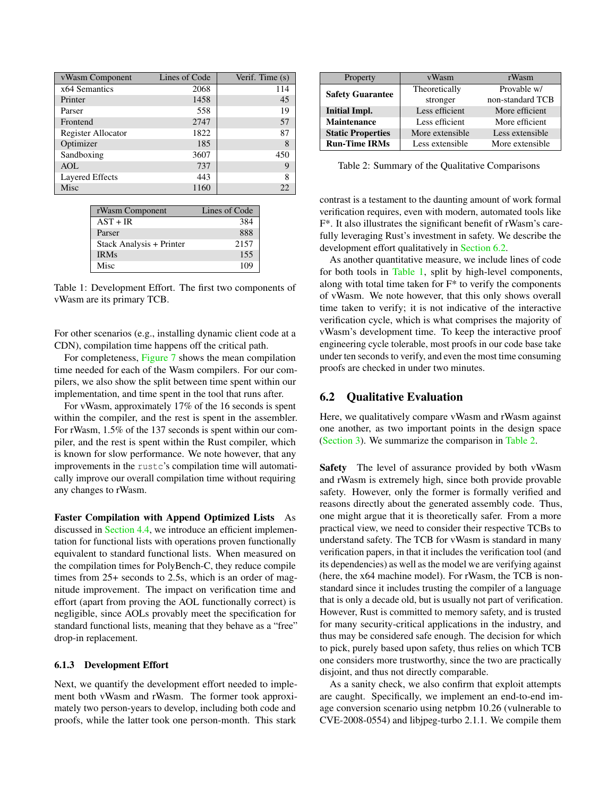<span id="page-11-1"></span>

| vWasm Component        | Lines of Code | Verif. Time (s) |
|------------------------|---------------|-----------------|
| x64 Semantics          | 2068          | 114             |
| Printer                | 1458          | 45              |
| Parser                 | 558           | 19              |
| Frontend               | 2747          | 57              |
| Register Allocator     | 1822          | 87              |
| Optimizer              | 185           | 8               |
| Sandboxing             | 3607          | 450             |
| <b>AOL</b>             | 737           | 9               |
| <b>Layered Effects</b> | 443           | 8               |
| Misc                   | 1160          | 22              |

| rWasm Component          | Lines of Code |
|--------------------------|---------------|
| $AST + IR$               | 384           |
| Parser                   | 888           |
| Stack Analysis + Printer | 2157          |
| <b>IRMs</b>              | 155           |
| Misc                     | 109           |

Table 1: Development Effort. The first two components of vWasm are its primary TCB.

For other scenarios (e.g., installing dynamic client code at a CDN), compilation time happens off the critical path.

For completeness, [Figure 7](#page-10-3) shows the mean compilation time needed for each of the Wasm compilers. For our compilers, we also show the split between time spent within our implementation, and time spent in the tool that runs after.

For vWasm, approximately 17% of the 16 seconds is spent within the compiler, and the rest is spent in the assembler. For rWasm, 1.5% of the 137 seconds is spent within our compiler, and the rest is spent within the Rust compiler, which is known for slow performance. We note however, that any improvements in the rustc's compilation time will automatically improve our overall compilation time without requiring any changes to rWasm.

Faster Compilation with Append Optimized Lists As discussed in [Section 4.4,](#page-6-1) we introduce an efficient implementation for functional lists with operations proven functionally equivalent to standard functional lists. When measured on the compilation times for PolyBench-C, they reduce compile times from 25+ seconds to 2.5s, which is an order of magnitude improvement. The impact on verification time and effort (apart from proving the AOL functionally correct) is negligible, since AOLs provably meet the specification for standard functional lists, meaning that they behave as a "free" drop-in replacement.

#### 6.1.3 Development Effort

Next, we quantify the development effort needed to implement both vWasm and rWasm. The former took approximately two person-years to develop, including both code and proofs, while the latter took one person-month. This stark

<span id="page-11-2"></span>

| Property                 | vWasm           | rWasm            |
|--------------------------|-----------------|------------------|
| <b>Safety Guarantee</b>  | Theoretically   | Provable w/      |
|                          | stronger        | non-standard TCB |
| <b>Initial Impl.</b>     | Less efficient  | More efficient   |
| <b>Maintenance</b>       | Less efficient  | More efficient   |
| <b>Static Properties</b> | More extensible | Less extensible  |
| <b>Run-Time IRMs</b>     | Less extensible | More extensible  |

Table 2: Summary of the Qualitative Comparisons

contrast is a testament to the daunting amount of work formal verification requires, even with modern, automated tools like F\*. It also illustrates the significant benefit of rWasm's carefully leveraging Rust's investment in safety. We describe the development effort qualitatively in [Section 6.2.](#page-12-0)

As another quantitative measure, we include lines of code for both tools in [Table 1,](#page-11-1) split by high-level components, along with total time taken for  $F^*$  to verify the components of vWasm. We note however, that this only shows overall time taken to verify; it is not indicative of the interactive verification cycle, which is what comprises the majority of vWasm's development time. To keep the interactive proof engineering cycle tolerable, most proofs in our code base take under ten seconds to verify, and even the most time consuming proofs are checked in under two minutes.

### <span id="page-11-0"></span>6.2 Qualitative Evaluation

Here, we qualitatively compare vWasm and rWasm against one another, as two important points in the design space [\(Section 3\)](#page-3-0). We summarize the comparison in [Table 2.](#page-11-2)

Safety The level of assurance provided by both vWasm and rWasm is extremely high, since both provide provable safety. However, only the former is formally verified and reasons directly about the generated assembly code. Thus, one might argue that it is theoretically safer. From a more practical view, we need to consider their respective TCBs to understand safety. The TCB for vWasm is standard in many verification papers, in that it includes the verification tool (and its dependencies) as well as the model we are verifying against (here, the x64 machine model). For rWasm, the TCB is nonstandard since it includes trusting the compiler of a language that is only a decade old, but is usually not part of verification. However, Rust is committed to memory safety, and is trusted for many security-critical applications in the industry, and thus may be considered safe enough. The decision for which to pick, purely based upon safety, thus relies on which TCB one considers more trustworthy, since the two are practically disjoint, and thus not directly comparable.

As a sanity check, we also confirm that exploit attempts are caught. Specifically, we implement an end-to-end image conversion scenario using netpbm 10.26 (vulnerable to CVE-2008-0554) and libjpeg-turbo 2.1.1. We compile them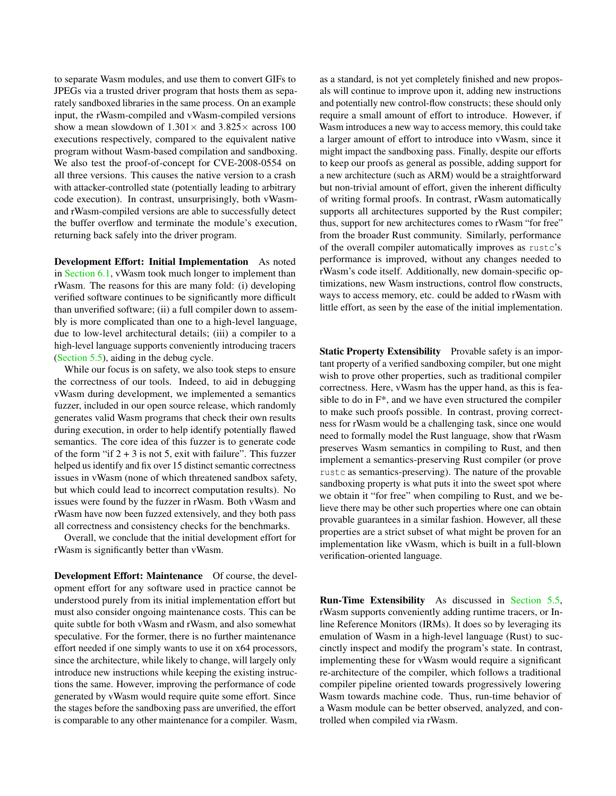to separate Wasm modules, and use them to convert GIFs to JPEGs via a trusted driver program that hosts them as separately sandboxed libraries in the same process. On an example input, the rWasm-compiled and vWasm-compiled versions show a mean slowdown of  $1.301 \times$  and  $3.825 \times$  across 100 executions respectively, compared to the equivalent native program without Wasm-based compilation and sandboxing. We also test the proof-of-concept for CVE-2008-0554 on all three versions. This causes the native version to a crash with attacker-controlled state (potentially leading to arbitrary code execution). In contrast, unsurprisingly, both vWasmand rWasm-compiled versions are able to successfully detect the buffer overflow and terminate the module's execution, returning back safely into the driver program.

<span id="page-12-0"></span>Development Effort: Initial Implementation As noted in [Section 6.1,](#page-9-0) vWasm took much longer to implement than rWasm. The reasons for this are many fold: (i) developing verified software continues to be significantly more difficult than unverified software; (ii) a full compiler down to assembly is more complicated than one to a high-level language, due to low-level architectural details; (iii) a compiler to a high-level language supports conveniently introducing tracers [\(Section 5.5\)](#page-9-2), aiding in the debug cycle.

While our focus is on safety, we also took steps to ensure the correctness of our tools. Indeed, to aid in debugging vWasm during development, we implemented a semantics fuzzer, included in our open source release, which randomly generates valid Wasm programs that check their own results during execution, in order to help identify potentially flawed semantics. The core idea of this fuzzer is to generate code of the form "if  $2 + 3$  is not 5, exit with failure". This fuzzer helped us identify and fix over 15 distinct semantic correctness issues in vWasm (none of which threatened sandbox safety, but which could lead to incorrect computation results). No issues were found by the fuzzer in rWasm. Both vWasm and rWasm have now been fuzzed extensively, and they both pass all correctness and consistency checks for the benchmarks.

Overall, we conclude that the initial development effort for rWasm is significantly better than vWasm.

Development Effort: Maintenance Of course, the development effort for any software used in practice cannot be understood purely from its initial implementation effort but must also consider ongoing maintenance costs. This can be quite subtle for both vWasm and rWasm, and also somewhat speculative. For the former, there is no further maintenance effort needed if one simply wants to use it on x64 processors, since the architecture, while likely to change, will largely only introduce new instructions while keeping the existing instructions the same. However, improving the performance of code generated by vWasm would require quite some effort. Since the stages before the sandboxing pass are unverified, the effort is comparable to any other maintenance for a compiler. Wasm, as a standard, is not yet completely finished and new proposals will continue to improve upon it, adding new instructions and potentially new control-flow constructs; these should only require a small amount of effort to introduce. However, if Wasm introduces a new way to access memory, this could take a larger amount of effort to introduce into vWasm, since it might impact the sandboxing pass. Finally, despite our efforts to keep our proofs as general as possible, adding support for a new architecture (such as ARM) would be a straightforward but non-trivial amount of effort, given the inherent difficulty of writing formal proofs. In contrast, rWasm automatically supports all architectures supported by the Rust compiler; thus, support for new architectures comes to rWasm "for free" from the broader Rust community. Similarly, performance of the overall compiler automatically improves as rustc's performance is improved, without any changes needed to rWasm's code itself. Additionally, new domain-specific optimizations, new Wasm instructions, control flow constructs, ways to access memory, etc. could be added to rWasm with little effort, as seen by the ease of the initial implementation.

Static Property Extensibility Provable safety is an important property of a verified sandboxing compiler, but one might wish to prove other properties, such as traditional compiler correctness. Here, vWasm has the upper hand, as this is feasible to do in F\*, and we have even structured the compiler to make such proofs possible. In contrast, proving correctness for rWasm would be a challenging task, since one would need to formally model the Rust language, show that rWasm preserves Wasm semantics in compiling to Rust, and then implement a semantics-preserving Rust compiler (or prove rustc as semantics-preserving). The nature of the provable sandboxing property is what puts it into the sweet spot where we obtain it "for free" when compiling to Rust, and we believe there may be other such properties where one can obtain provable guarantees in a similar fashion. However, all these properties are a strict subset of what might be proven for an implementation like vWasm, which is built in a full-blown verification-oriented language.

Run-Time Extensibility As discussed in [Section 5.5,](#page-9-2) rWasm supports conveniently adding runtime tracers, or Inline Reference Monitors (IRMs). It does so by leveraging its emulation of Wasm in a high-level language (Rust) to succinctly inspect and modify the program's state. In contrast, implementing these for vWasm would require a significant re-architecture of the compiler, which follows a traditional compiler pipeline oriented towards progressively lowering Wasm towards machine code. Thus, run-time behavior of a Wasm module can be better observed, analyzed, and controlled when compiled via rWasm.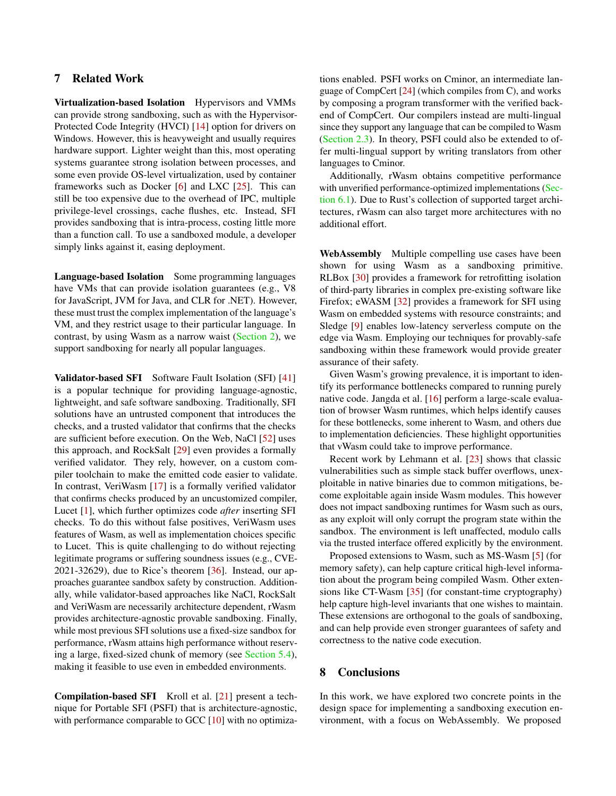# <span id="page-13-0"></span>7 Related Work

Virtualization-based Isolation Hypervisors and VMMs can provide strong sandboxing, such as with the Hypervisor-Protected Code Integrity (HVCI) [\[14\]](#page-14-16) option for drivers on Windows. However, this is heavyweight and usually requires hardware support. Lighter weight than this, most operating systems guarantee strong isolation between processes, and some even provide OS-level virtualization, used by container frameworks such as Docker [\[6\]](#page-14-17) and LXC [\[25\]](#page-15-22). This can still be too expensive due to the overhead of IPC, multiple privilege-level crossings, cache flushes, etc. Instead, SFI provides sandboxing that is intra-process, costing little more than a function call. To use a sandboxed module, a developer simply links against it, easing deployment.

Language-based Isolation Some programming languages have VMs that can provide isolation guarantees (e.g., V8 for JavaScript, JVM for Java, and CLR for .NET). However, these must trust the complex implementation of the language's VM, and they restrict usage to their particular language. In contrast, by using Wasm as a narrow waist [\(Section 2\)](#page-1-3), we support sandboxing for nearly all popular languages.

Validator-based SFI Software Fault Isolation (SFI) [\[41\]](#page-15-0) is a popular technique for providing language-agnostic, lightweight, and safe software sandboxing. Traditionally, SFI solutions have an untrusted component that introduces the checks, and a trusted validator that confirms that the checks are sufficient before execution. On the Web, NaCl [\[52\]](#page-16-0) uses this approach, and RockSalt [\[29\]](#page-15-2) even provides a formally verified validator. They rely, however, on a custom compiler toolchain to make the emitted code easier to validate. In contrast, VeriWasm [\[17\]](#page-14-1) is a formally verified validator that confirms checks produced by an uncustomized compiler, Lucet [\[1\]](#page-14-6), which further optimizes code *after* inserting SFI checks. To do this without false positives, VeriWasm uses features of Wasm, as well as implementation choices specific to Lucet. This is quite challenging to do without rejecting legitimate programs or suffering soundness issues (e.g., CVE-2021-32629), due to Rice's theorem [\[36\]](#page-15-23). Instead, our approaches guarantee sandbox safety by construction. Additionally, while validator-based approaches like NaCl, RockSalt and VeriWasm are necessarily architecture dependent, rWasm provides architecture-agnostic provable sandboxing. Finally, while most previous SFI solutions use a fixed-size sandbox for performance, rWasm attains high performance without reserving a large, fixed-sized chunk of memory (see [Section 5.4\)](#page-7-2), making it feasible to use even in embedded environments.

Compilation-based SFI Kroll et al. [\[21\]](#page-14-2) present a technique for Portable SFI (PSFI) that is architecture-agnostic, with performance comparable to GCC [\[10\]](#page-14-18) with no optimizations enabled. PSFI works on Cminor, an intermediate language of CompCert [\[24\]](#page-15-7) (which compiles from C), and works by composing a program transformer with the verified backend of CompCert. Our compilers instead are multi-lingual since they support any language that can be compiled to Wasm [\(Section 2.3\)](#page-2-1). In theory, PSFI could also be extended to offer multi-lingual support by writing translators from other languages to Cminor.

Additionally, rWasm obtains competitive performance with unverified performance-optimized implementations [\(Sec](#page-9-0)[tion 6.1\)](#page-9-0). Due to Rust's collection of supported target architectures, rWasm can also target more architectures with no additional effort.

WebAssembly Multiple compelling use cases have been shown for using Wasm as a sandboxing primitive. RLBox [\[30\]](#page-15-3) provides a framework for retrofitting isolation of third-party libraries in complex pre-existing software like Firefox; eWASM [\[32\]](#page-15-5) provides a framework for SFI using Wasm on embedded systems with resource constraints; and Sledge [\[9\]](#page-14-5) enables low-latency serverless compute on the edge via Wasm. Employing our techniques for provably-safe sandboxing within these framework would provide greater assurance of their safety.

Given Wasm's growing prevalence, it is important to identify its performance bottlenecks compared to running purely native code. Jangda et al. [\[16\]](#page-14-19) perform a large-scale evaluation of browser Wasm runtimes, which helps identify causes for these bottlenecks, some inherent to Wasm, and others due to implementation deficiencies. These highlight opportunities that vWasm could take to improve performance.

Recent work by Lehmann et al. [\[23\]](#page-15-24) shows that classic vulnerabilities such as simple stack buffer overflows, unexploitable in native binaries due to common mitigations, become exploitable again inside Wasm modules. This however does not impact sandboxing runtimes for Wasm such as ours, as any exploit will only corrupt the program state within the sandbox. The environment is left unaffected, modulo calls via the trusted interface offered explicitly by the environment.

Proposed extensions to Wasm, such as MS-Wasm [\[5\]](#page-14-20) (for memory safety), can help capture critical high-level information about the program being compiled Wasm. Other extensions like CT-Wasm [\[35\]](#page-15-25) (for constant-time cryptography) help capture high-level invariants that one wishes to maintain. These extensions are orthogonal to the goals of sandboxing, and can help provide even stronger guarantees of safety and correctness to the native code execution.

## 8 Conclusions

In this work, we have explored two concrete points in the design space for implementing a sandboxing execution environment, with a focus on WebAssembly. We proposed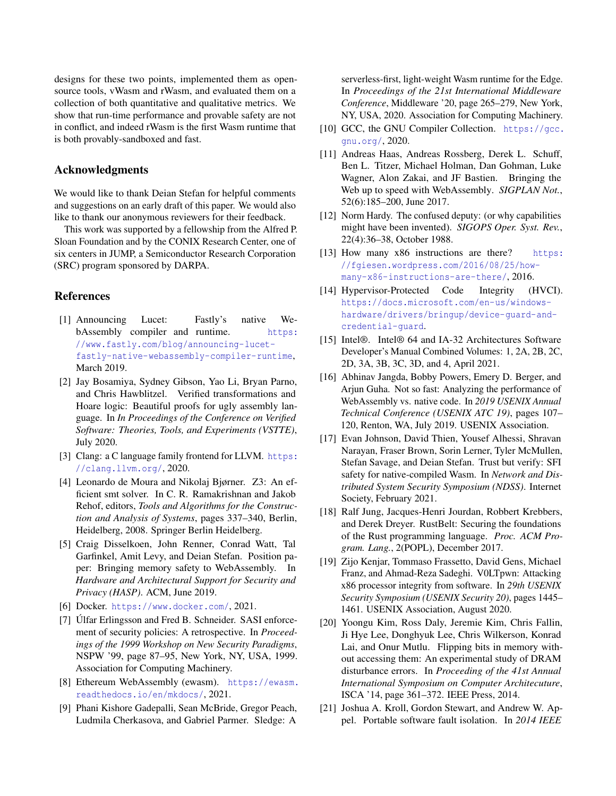designs for these two points, implemented them as opensource tools, vWasm and rWasm, and evaluated them on a collection of both quantitative and qualitative metrics. We show that run-time performance and provable safety are not in conflict, and indeed rWasm is the first Wasm runtime that is both provably-sandboxed and fast.

#### Acknowledgments

We would like to thank Deian Stefan for helpful comments and suggestions on an early draft of this paper. We would also like to thank our anonymous reviewers for their feedback.

This work was supported by a fellowship from the Alfred P. Sloan Foundation and by the CONIX Research Center, one of six centers in JUMP, a Semiconductor Research Corporation (SRC) program sponsored by DARPA.

#### References

- <span id="page-14-6"></span>[1] Announcing Lucet: Fastly's native WebAssembly compiler and runtime. [https:](https://www.fastly.com/blog/announcing-lucet-fastly-native-webassembly-compiler-runtime) [//www.fastly.com/blog/announcing-lucet](https://www.fastly.com/blog/announcing-lucet-fastly-native-webassembly-compiler-runtime)[fastly-native-webassembly-compiler-runtime](https://www.fastly.com/blog/announcing-lucet-fastly-native-webassembly-compiler-runtime), March 2019.
- <span id="page-14-13"></span>[2] Jay Bosamiya, Sydney Gibson, Yao Li, Bryan Parno, and Chris Hawblitzel. Verified transformations and Hoare logic: Beautiful proofs for ugly assembly language. In *In Proceedings of the Conference on Verified Software: Theories, Tools, and Experiments (VSTTE)*, July 2020.
- <span id="page-14-15"></span>[3] Clang: a C language family frontend for LLVM. [https:](https://clang.llvm.org/) [//clang.llvm.org/](https://clang.llvm.org/), 2020.
- <span id="page-14-12"></span>[4] Leonardo de Moura and Nikolaj Bjørner. Z3: An efficient smt solver. In C. R. Ramakrishnan and Jakob Rehof, editors, *Tools and Algorithms for the Construction and Analysis of Systems*, pages 337–340, Berlin, Heidelberg, 2008. Springer Berlin Heidelberg.
- <span id="page-14-20"></span>[5] Craig Disselkoen, John Renner, Conrad Watt, Tal Garfinkel, Amit Levy, and Deian Stefan. Position paper: Bringing memory safety to WebAssembly. In *Hardware and Architectural Support for Security and Privacy (HASP)*. ACM, June 2019.
- <span id="page-14-17"></span>[6] Docker. <https://www.docker.com/>, 2021.
- <span id="page-14-0"></span>[7] Úlfar Erlingsson and Fred B. Schneider. SASI enforcement of security policies: A retrospective. In *Proceedings of the 1999 Workshop on New Security Paradigms*, NSPW '99, page 87–95, New York, NY, USA, 1999. Association for Computing Machinery.
- <span id="page-14-4"></span>[8] Ethereum WebAssembly (ewasm). [https://ewasm.](https://ewasm.readthedocs.io/en/mkdocs/) [readthedocs.io/en/mkdocs/](https://ewasm.readthedocs.io/en/mkdocs/), 2021.
- <span id="page-14-5"></span>[9] Phani Kishore Gadepalli, Sean McBride, Gregor Peach, Ludmila Cherkasova, and Gabriel Parmer. Sledge: A

serverless-first, light-weight Wasm runtime for the Edge. In *Proceedings of the 21st International Middleware Conference*, Middleware '20, page 265–279, New York, NY, USA, 2020. Association for Computing Machinery.

- <span id="page-14-18"></span>[10] GCC, the GNU Compiler Collection. https://qcc. [gnu.org/](https://gcc.gnu.org/), 2020.
- <span id="page-14-3"></span>[11] Andreas Haas, Andreas Rossberg, Derek L. Schuff, Ben L. Titzer, Michael Holman, Dan Gohman, Luke Wagner, Alon Zakai, and JF Bastien. Bringing the Web up to speed with WebAssembly. *SIGPLAN Not.*, 52(6):185–200, June 2017.
- <span id="page-14-11"></span>[12] Norm Hardy. The confused deputy: (or why capabilities might have been invented). *SIGOPS Oper. Syst. Rev.*, 22(4):36–38, October 1988.
- <span id="page-14-7"></span>[13] How many x86 instructions are there? [https:](https://fgiesen.wordpress.com/2016/08/25/how-many-x86-instructions-are-there/) [//fgiesen.wordpress.com/2016/08/25/how](https://fgiesen.wordpress.com/2016/08/25/how-many-x86-instructions-are-there/)[many-x86-instructions-are-there/](https://fgiesen.wordpress.com/2016/08/25/how-many-x86-instructions-are-there/), 2016.
- <span id="page-14-16"></span>[14] Hypervisor-Protected Code Integrity (HVCI). [https://docs.microsoft.com/en-us/windows](https://docs.microsoft.com/en-us/windows-hardware/drivers/bringup/device-guard-and-credential-guard)[hardware/drivers/bringup/device-guard-and](https://docs.microsoft.com/en-us/windows-hardware/drivers/bringup/device-guard-and-credential-guard)[credential-guard](https://docs.microsoft.com/en-us/windows-hardware/drivers/bringup/device-guard-and-credential-guard).
- <span id="page-14-21"></span><span id="page-14-8"></span>[15] Intel®. Intel® 64 and IA-32 Architectures Software Developer's Manual Combined Volumes: 1, 2A, 2B, 2C, 2D, 3A, 3B, 3C, 3D, and 4, April 2021.
- <span id="page-14-19"></span>[16] Abhinav Jangda, Bobby Powers, Emery D. Berger, and Arjun Guha. Not so fast: Analyzing the performance of WebAssembly vs. native code. In *2019 USENIX Annual Technical Conference (USENIX ATC 19)*, pages 107– 120, Renton, WA, July 2019. USENIX Association.
- <span id="page-14-1"></span>[17] Evan Johnson, David Thien, Yousef Alhessi, Shravan Narayan, Fraser Brown, Sorin Lerner, Tyler McMullen, Stefan Savage, and Deian Stefan. Trust but verify: SFI safety for native-compiled Wasm. In *Network and Distributed System Security Symposium (NDSS)*. Internet Society, February 2021.
- <span id="page-14-14"></span>[18] Ralf Jung, Jacques-Henri Jourdan, Robbert Krebbers, and Derek Dreyer. RustBelt: Securing the foundations of the Rust programming language. *Proc. ACM Program. Lang.*, 2(POPL), December 2017.
- <span id="page-14-10"></span>[19] Zijo Kenjar, Tommaso Frassetto, David Gens, Michael Franz, and Ahmad-Reza Sadeghi. V0LTpwn: Attacking x86 processor integrity from software. In *29th USENIX Security Symposium (USENIX Security 20)*, pages 1445– 1461. USENIX Association, August 2020.
- <span id="page-14-9"></span>[20] Yoongu Kim, Ross Daly, Jeremie Kim, Chris Fallin, Ji Hye Lee, Donghyuk Lee, Chris Wilkerson, Konrad Lai, and Onur Mutlu. Flipping bits in memory without accessing them: An experimental study of DRAM disturbance errors. In *Proceeding of the 41st Annual International Symposium on Computer Architecuture*, ISCA '14, page 361–372. IEEE Press, 2014.
- <span id="page-14-2"></span>[21] Joshua A. Kroll, Gordon Stewart, and Andrew W. Appel. Portable software fault isolation. In *2014 IEEE*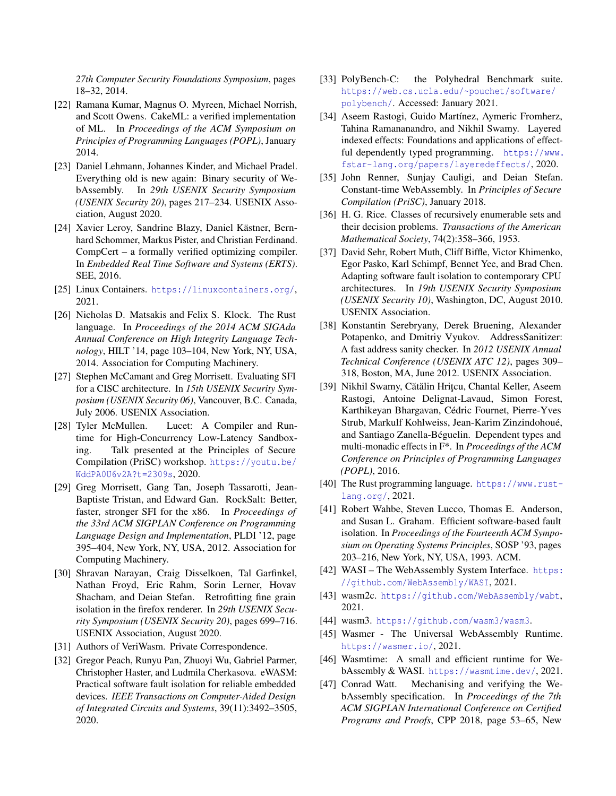*27th Computer Security Foundations Symposium*, pages 18–32, 2014.

- <span id="page-15-13"></span>[22] Ramana Kumar, Magnus O. Myreen, Michael Norrish, and Scott Owens. CakeML: a verified implementation of ML. In *Proceedings of the ACM Symposium on Principles of Programming Languages (POPL)*, January 2014.
- <span id="page-15-24"></span>[23] Daniel Lehmann, Johannes Kinder, and Michael Pradel. Everything old is new again: Binary security of WebAssembly. In *29th USENIX Security Symposium (USENIX Security 20)*, pages 217–234. USENIX Association, August 2020.
- <span id="page-15-7"></span>[24] Xavier Leroy, Sandrine Blazy, Daniel Kästner, Bernhard Schommer, Markus Pister, and Christian Ferdinand. CompCert – a formally verified optimizing compiler. In *Embedded Real Time Software and Systems (ERTS)*. SEE, 2016.
- <span id="page-15-22"></span>[25] Linux Containers. <https://linuxcontainers.org/>, 2021.
- <span id="page-15-15"></span>[26] Nicholas D. Matsakis and Felix S. Klock. The Rust language. In *Proceedings of the 2014 ACM SIGAda Annual Conference on High Integrity Language Technology*, HILT '14, page 103–104, New York, NY, USA, 2014. Association for Computing Machinery.
- <span id="page-15-1"></span>[27] Stephen McCamant and Greg Morrisett. Evaluating SFI for a CISC architecture. In *15th USENIX Security Symposium (USENIX Security 06)*, Vancouver, B.C. Canada, July 2006. USENIX Association.
- <span id="page-15-20"></span>[28] Tyler McMullen. Lucet: A Compiler and Runtime for High-Concurrency Low-Latency Sandboxing. Talk presented at the Principles of Secure Compilation (PriSC) workshop. [https://youtu.be/](https://youtu.be/WddPA0U6v2A?t=2309s) [WddPA0U6v2A?t=2309s](https://youtu.be/WddPA0U6v2A?t=2309s), 2020.
- <span id="page-15-2"></span>[29] Greg Morrisett, Gang Tan, Joseph Tassarotti, Jean-Baptiste Tristan, and Edward Gan. RockSalt: Better, faster, stronger SFI for the x86. In *Proceedings of the 33rd ACM SIGPLAN Conference on Programming Language Design and Implementation*, PLDI '12, page 395–404, New York, NY, USA, 2012. Association for Computing Machinery.
- <span id="page-15-3"></span>[30] Shravan Narayan, Craig Disselkoen, Tal Garfinkel, Nathan Froyd, Eric Rahm, Sorin Lerner, Hovav Shacham, and Deian Stefan. Retrofitting fine grain isolation in the firefox renderer. In *29th USENIX Security Symposium (USENIX Security 20)*, pages 699–716. USENIX Association, August 2020.
- <span id="page-15-10"></span>[31] Authors of VeriWasm. Private Correspondence.
- <span id="page-15-5"></span>[32] Gregor Peach, Runyu Pan, Zhuoyi Wu, Gabriel Parmer, Christopher Haster, and Ludmila Cherkasova. eWASM: Practical software fault isolation for reliable embedded devices. *IEEE Transactions on Computer-Aided Design of Integrated Circuits and Systems*, 39(11):3492–3505, 2020.
- <span id="page-15-21"></span>[33] PolyBench-C: the Polyhedral Benchmark suite. [https://web.cs.ucla.edu/~pouchet/software/](https://web.cs.ucla.edu/~pouchet/software/polybench/) [polybench/](https://web.cs.ucla.edu/~pouchet/software/polybench/). Accessed: January 2021.
- <span id="page-15-14"></span>[34] Aseem Rastogi, Guido Martínez, Aymeric Fromherz, Tahina Ramananandro, and Nikhil Swamy. Layered indexed effects: Foundations and applications of effectful dependently typed programming. [https://www.](https://www.fstar-lang.org/papers/layeredeffects/) [fstar-lang.org/papers/layeredeffects/](https://www.fstar-lang.org/papers/layeredeffects/), 2020.
- <span id="page-15-25"></span>[35] John Renner, Sunjay Cauligi, and Deian Stefan. Constant-time WebAssembly. In *Principles of Secure Compilation (PriSC)*, January 2018.
- <span id="page-15-23"></span>[36] H. G. Rice. Classes of recursively enumerable sets and their decision problems. *Transactions of the American Mathematical Society*, 74(2):358–366, 1953.
- <span id="page-15-4"></span>[37] David Sehr, Robert Muth, Cliff Biffle, Victor Khimenko, Egor Pasko, Karl Schimpf, Bennet Yee, and Brad Chen. Adapting software fault isolation to contemporary CPU architectures. In *19th USENIX Security Symposium (USENIX Security 10)*, Washington, DC, August 2010. USENIX Association.
- <span id="page-15-17"></span>[38] Konstantin Serebryany, Derek Bruening, Alexander Potapenko, and Dmitriy Vyukov. AddressSanitizer: A fast address sanity checker. In *2012 USENIX Annual Technical Conference (USENIX ATC 12)*, pages 309– 318, Boston, MA, June 2012. USENIX Association.
- <span id="page-15-8"></span>[39] Nikhil Swamy, Cătălin Hrițcu, Chantal Keller, Aseem Rastogi, Antoine Delignat-Lavaud, Simon Forest, Karthikeyan Bhargavan, Cédric Fournet, Pierre-Yves Strub, Markulf Kohlweiss, Jean-Karim Zinzindohoué, and Santiago Zanella-Béguelin. Dependent types and multi-monadic effects in F\*. In *Proceedings of the ACM Conference on Principles of Programming Languages (POPL)*, 2016.
- <span id="page-15-16"></span>[40] The Rust programming language. [https://www.rust](https://www.rust-lang.org/)[lang.org/](https://www.rust-lang.org/), 2021.
- <span id="page-15-0"></span>[41] Robert Wahbe, Steven Lucco, Thomas E. Anderson, and Susan L. Graham. Efficient software-based fault isolation. In *Proceedings of the Fourteenth ACM Symposium on Operating Systems Principles*, SOSP '93, pages 203–216, New York, NY, USA, 1993. ACM.
- <span id="page-15-6"></span>[42] WASI – The WebAssembly System Interface. [https:](https://github.com/WebAssembly/WASI) [//github.com/WebAssembly/WASI](https://github.com/WebAssembly/WASI), 2021.
- <span id="page-15-11"></span>[43] wasm2c. <https://github.com/WebAssembly/wabt>, 2021.
- <span id="page-15-18"></span>[44] wasm3. <https://github.com/wasm3/wasm3>.
- <span id="page-15-19"></span>[45] Wasmer - The Universal WebAssembly Runtime. <https://wasmer.io/>, 2021.
- <span id="page-15-9"></span>[46] Wasmtime: A small and efficient runtime for WebAssembly & WASI. <https://wasmtime.dev/>, 2021.
- <span id="page-15-12"></span>[47] Conrad Watt. Mechanising and verifying the WebAssembly specification. In *Proceedings of the 7th ACM SIGPLAN International Conference on Certified Programs and Proofs*, CPP 2018, page 53–65, New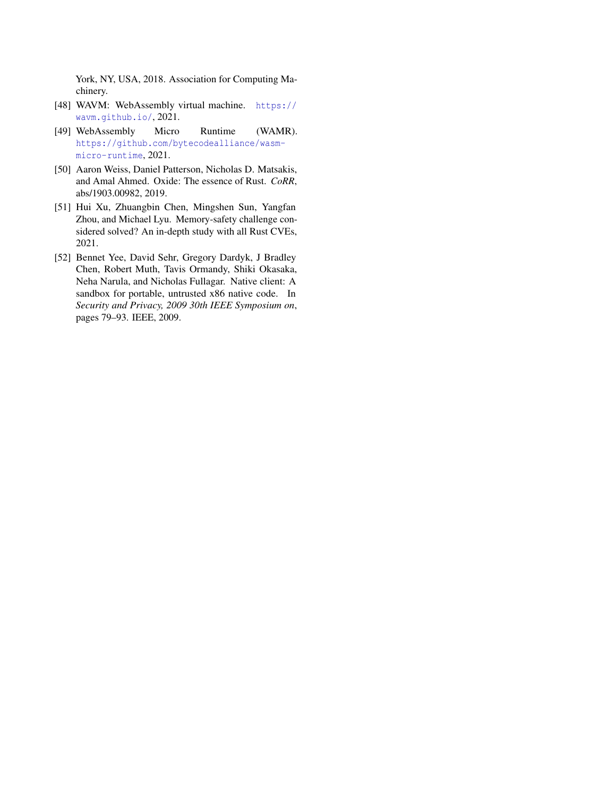York, NY, USA, 2018. Association for Computing Machinery.

- <span id="page-16-1"></span>[48] WAVM: WebAssembly virtual machine. [https://](https://wavm.github.io/) [wavm.github.io/](https://wavm.github.io/), 2021.
- <span id="page-16-2"></span>[49] WebAssembly Micro Runtime (WAMR). [https://github.com/bytecodealliance/wasm](https://github.com/bytecodealliance/wasm-micro-runtime)[micro-runtime](https://github.com/bytecodealliance/wasm-micro-runtime), 2021.
- <span id="page-16-4"></span>[50] Aaron Weiss, Daniel Patterson, Nicholas D. Matsakis, and Amal Ahmed. Oxide: The essence of Rust. *CoRR*, abs/1903.00982, 2019.
- <span id="page-16-3"></span>[51] Hui Xu, Zhuangbin Chen, Mingshen Sun, Yangfan Zhou, and Michael Lyu. Memory-safety challenge considered solved? An in-depth study with all Rust CVEs, 2021.
- <span id="page-16-0"></span>[52] Bennet Yee, David Sehr, Gregory Dardyk, J Bradley Chen, Robert Muth, Tavis Ormandy, Shiki Okasaka, Neha Narula, and Nicholas Fullagar. Native client: A sandbox for portable, untrusted x86 native code. In *Security and Privacy, 2009 30th IEEE Symposium on*, pages 79–93. IEEE, 2009.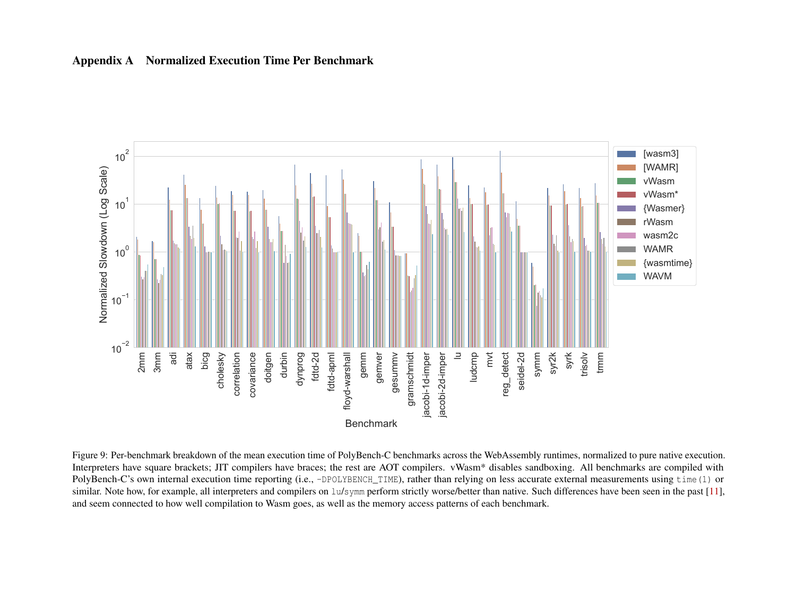

# Appendix A Normalized Execution Time Per Benchmark

<span id="page-17-0"></span>Figure 9: Per-benchmark breakdown of the mean execution time of PolyBench-C benchmarks across the WebAssembly runtimes, normalized to pure native execution. Interpreters have square brackets; JIT compilers have braces; the rest are AOT compilers. vWasm\* disables sandboxing. All benchmarks are compiled with PolyBench-C's own internal execution time reporting (i.e., -DPOLYBENCH\_TIME), rather than relying on less accurate external measurements using time(1) or similar. Note how, for example, all interpreters and compilers on lu/symm perform strictly worse/better than native. Such differences have been seen in the pas<sup>t</sup> [\[11\]](#page-14-21), and seem connected to how well compilation to Wasm goes, as well as the memory access patterns of each benchmark.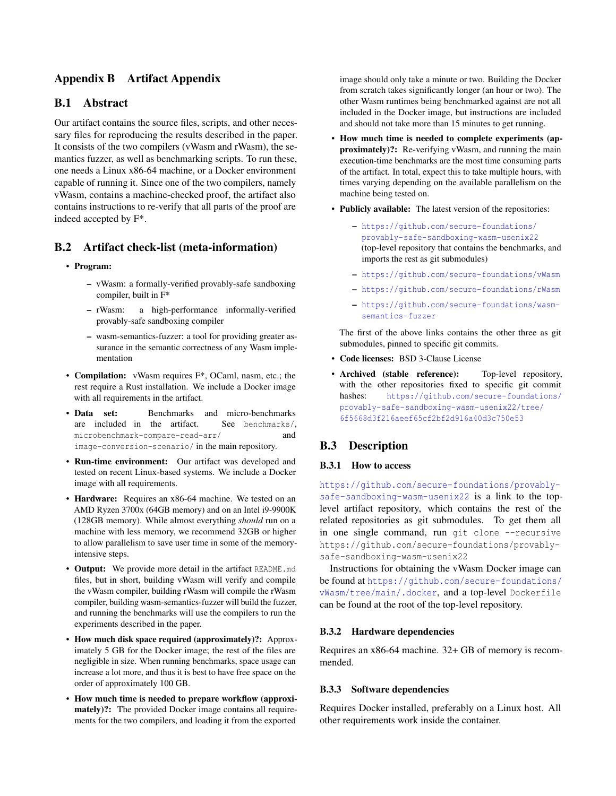# Appendix B Artifact Appendix

# B.1 Abstract

Our artifact contains the source files, scripts, and other necessary files for reproducing the results described in the paper. It consists of the two compilers (vWasm and rWasm), the semantics fuzzer, as well as benchmarking scripts. To run these, one needs a Linux x86-64 machine, or a Docker environment capable of running it. Since one of the two compilers, namely vWasm, contains a machine-checked proof, the artifact also contains instructions to re-verify that all parts of the proof are indeed accepted by F\*.

# B.2 Artifact check-list (meta-information)

- Program:
	- vWasm: a formally-verified provably-safe sandboxing compiler, built in F\*
	- rWasm: a high-performance informally-verified provably-safe sandboxing compiler
	- wasm-semantics-fuzzer: a tool for providing greater assurance in the semantic correctness of any Wasm implementation
- Compilation: vWasm requires F\*, OCaml, nasm, etc.; the rest require a Rust installation. We include a Docker image with all requirements in the artifact.
- Data set: Benchmarks and micro-benchmarks are included in the artifact. See benchmarks/, microbenchmark-compare-read-arr/ and image-conversion-scenario/ in the main repository.
- Run-time environment: Our artifact was developed and tested on recent Linux-based systems. We include a Docker image with all requirements.
- Hardware: Requires an x86-64 machine. We tested on an AMD Ryzen 3700x (64GB memory) and on an Intel i9-9900K (128GB memory). While almost everything *should* run on a machine with less memory, we recommend 32GB or higher to allow parallelism to save user time in some of the memoryintensive steps.
- Output: We provide more detail in the artifact README.md files, but in short, building vWasm will verify and compile the vWasm compiler, building rWasm will compile the rWasm compiler, building wasm-semantics-fuzzer will build the fuzzer, and running the benchmarks will use the compilers to run the experiments described in the paper.
- How much disk space required (approximately)?: Approximately 5 GB for the Docker image; the rest of the files are negligible in size. When running benchmarks, space usage can increase a lot more, and thus it is best to have free space on the order of approximately 100 GB.
- How much time is needed to prepare workflow (approximately)?: The provided Docker image contains all requirements for the two compilers, and loading it from the exported

image should only take a minute or two. Building the Docker from scratch takes significantly longer (an hour or two). The other Wasm runtimes being benchmarked against are not all included in the Docker image, but instructions are included and should not take more than 15 minutes to get running.

- How much time is needed to complete experiments (approximately)?: Re-verifying vWasm, and running the main execution-time benchmarks are the most time consuming parts of the artifact. In total, expect this to take multiple hours, with times varying depending on the available parallelism on the machine being tested on.
- Publicly available: The latest version of the repositories:
	- [https://github.com/secure-foundations/](https://github.com/secure-foundations/provably-safe-sandboxing-wasm-usenix22) [provably-safe-sandboxing-wasm-usenix22](https://github.com/secure-foundations/provably-safe-sandboxing-wasm-usenix22) (top-level repository that contains the benchmarks, and imports the rest as git submodules)
	- <https://github.com/secure-foundations/vWasm>
	- <https://github.com/secure-foundations/rWasm>
	- [https://github.com/secure-foundations/wasm](https://github.com/secure-foundations/wasm-semantics-fuzzer)[semantics-fuzzer](https://github.com/secure-foundations/wasm-semantics-fuzzer)

The first of the above links contains the other three as git submodules, pinned to specific git commits.

- Code licenses: BSD 3-Clause License
- Archived (stable reference): Top-level repository, with the other repositories fixed to specific git commit hashes: [https://github.com/secure-foundations/](https://github.com/secure-foundations/provably-safe-sandboxing-wasm-usenix22/tree/6f5668d3f216aeef65cf2bf2d916a40d3c750e53) [provably-safe-sandboxing-wasm-usenix22/tree/](https://github.com/secure-foundations/provably-safe-sandboxing-wasm-usenix22/tree/6f5668d3f216aeef65cf2bf2d916a40d3c750e53) [6f5668d3f216aeef65cf2bf2d916a40d3c750e53](https://github.com/secure-foundations/provably-safe-sandboxing-wasm-usenix22/tree/6f5668d3f216aeef65cf2bf2d916a40d3c750e53)

# B.3 Description

#### B.3.1 How to access

[https://github.com/secure-foundations/provably](https://github.com/secure-foundations/provably-safe-sandboxing-wasm-usenix22)[safe-sandboxing-wasm-usenix22](https://github.com/secure-foundations/provably-safe-sandboxing-wasm-usenix22) is a link to the toplevel artifact repository, which contains the rest of the related repositories as git submodules. To get them all in one single command, run qit clone --recursive https://github.com/secure-foundations/provablysafe-sandboxing-wasm-usenix22

Instructions for obtaining the vWasm Docker image can be found at [https://github.com/secure-foundations/](https://github.com/secure-foundations/vWasm/tree/main/.docker) [vWasm/tree/main/.docker](https://github.com/secure-foundations/vWasm/tree/main/.docker), and a top-level Dockerfile can be found at the root of the top-level repository.

#### B.3.2 Hardware dependencies

Requires an x86-64 machine. 32+ GB of memory is recommended.

#### B.3.3 Software dependencies

Requires Docker installed, preferably on a Linux host. All other requirements work inside the container.